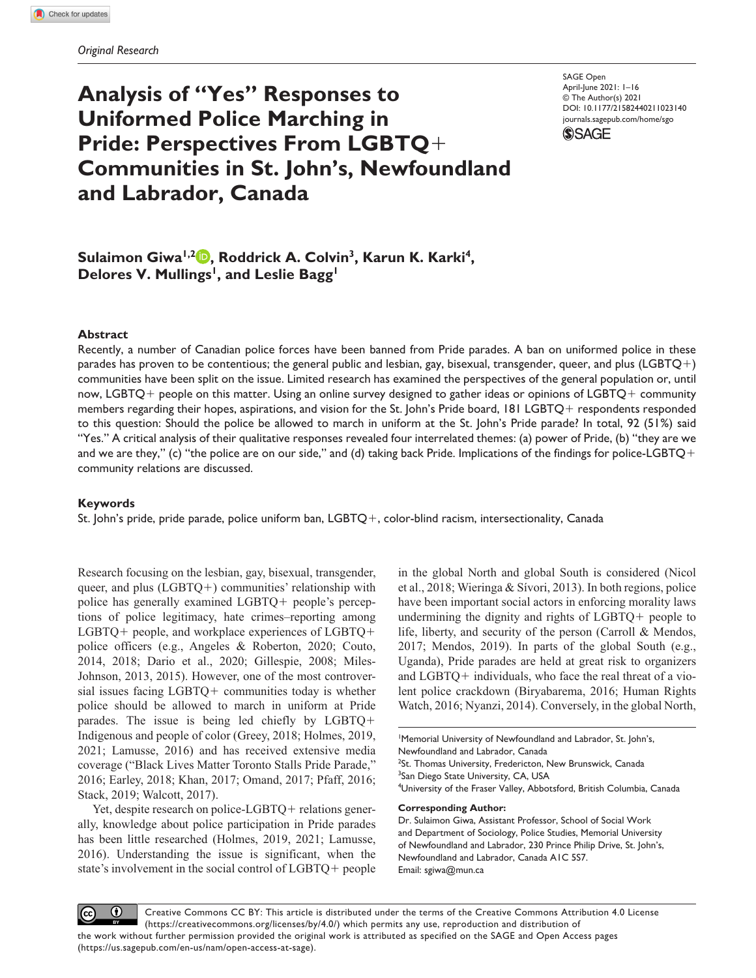# **Analysis of "Yes" Responses to Uniformed Police Marching in Pride: Perspectives From LGBTQ**+ **Communities in St. John's, Newfoundland and Labrador, Canada**

DOI: 10.1177/21582440211023140 SAGE Open April-June 2021: 1–16 © The Author(s) 2021 [journals.sagepub.com/home/sgo](https://journals.sagepub.com/home/sgo)



Sulaimon Giwa<sup>1,2</sup> **, Roddrick A. Colvin<sup>3</sup>, Karun K. Karki<sup>4</sup>,** Delores V. Mullings<sup>1</sup>, and Leslie Bagg<sup>1</sup>

### **Abstract**

Recently, a number of Canadian police forces have been banned from Pride parades. A ban on uniformed police in these parades has proven to be contentious; the general public and lesbian, gay, bisexual, transgender, queer, and plus (LGBTQ+) communities have been split on the issue. Limited research has examined the perspectives of the general population or, until now, LGBTQ+ people on this matter. Using an online survey designed to gather ideas or opinions of LGBTQ+ community members regarding their hopes, aspirations, and vision for the St. John's Pride board, 181 LGBTQ+ respondents responded to this question: Should the police be allowed to march in uniform at the St. John's Pride parade? In total, 92 (51%) said "Yes." A critical analysis of their qualitative responses revealed four interrelated themes: (a) power of Pride, (b) "they are we and we are they," (c) "the police are on our side," and (d) taking back Pride. Implications of the findings for police-LGBTQ+ community relations are discussed.

#### **Keywords**

St. John's pride, pride parade, police uniform ban, LGBTQ+, color-blind racism, intersectionality, Canada

Research focusing on the lesbian, gay, bisexual, transgender, queer, and plus  $(LGBTQ+)$  communities' relationship with police has generally examined LGBTQ+ people's perceptions of police legitimacy, hate crimes–reporting among LGBTQ+ people, and workplace experiences of LGBTQ+ police officers (e.g., Angeles & Roberton, 2020; Couto, 2014, 2018; Dario et al., 2020; Gillespie, 2008; Miles-Johnson, 2013, 2015). However, one of the most controversial issues facing LGBTQ+ communities today is whether police should be allowed to march in uniform at Pride parades. The issue is being led chiefly by LGBTQ+ Indigenous and people of color (Greey, 2018; Holmes, 2019, 2021; Lamusse, 2016) and has received extensive media coverage ("Black Lives Matter Toronto Stalls Pride Parade," 2016; Earley, 2018; Khan, 2017; Omand, 2017; Pfaff, 2016; Stack, 2019; Walcott, 2017).

Yet, despite research on police-LGBTQ+ relations generally, knowledge about police participation in Pride parades has been little researched (Holmes, 2019, 2021; Lamusse, 2016). Understanding the issue is significant, when the state's involvement in the social control of LGBTQ+ people

in the global North and global South is considered (Nicol et al., 2018; Wieringa & Sívori, 2013). In both regions, police have been important social actors in enforcing morality laws undermining the dignity and rights of LGBTQ+ people to life, liberty, and security of the person (Carroll & Mendos, 2017; Mendos, 2019). In parts of the global South (e.g., Uganda), Pride parades are held at great risk to organizers and LGBTQ+ individuals, who face the real threat of a violent police crackdown (Biryabarema, 2016; Human Rights Watch, 2016; Nyanzi, 2014). Conversely, in the global North,

1 Memorial University of Newfoundland and Labrador, St. John's, Newfoundland and Labrador, Canada <sup>2</sup>St. Thomas University, Fredericton, New Brunswick, Canada <sup>3</sup>San Diego State University, CA, USA 4 University of the Fraser Valley, Abbotsford, British Columbia, Canada

#### **Corresponding Author:**

Dr. Sulaimon Giwa, Assistant Professor, School of Social Work and Department of Sociology, Police Studies, Memorial University of Newfoundland and Labrador, 230 Prince Philip Drive, St. John's, Newfoundland and Labrador, Canada A1C 5S7. Email: [sgiwa@mun.ca](mailto:sgiwa@mun.ca)

 $\bf \odot$ Creative Commons CC BY: This article is distributed under the terms of the Creative Commons Attribution 4.0 License (https://creativecommons.org/licenses/by/4.0/) which permits any use, reproduction and distribution of the work without further permission provided the original work is attributed as specified on the SAGE and Open Access pages (https://us.sagepub.com/en-us/nam/open-access-at-sage).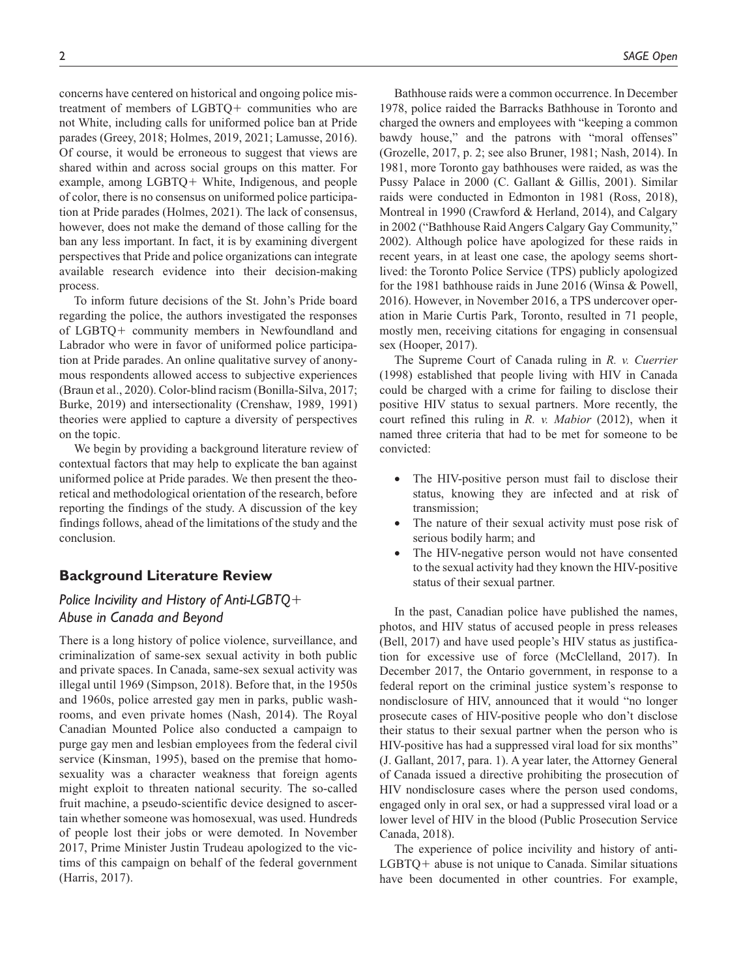concerns have centered on historical and ongoing police mistreatment of members of LGBTQ+ communities who are not White, including calls for uniformed police ban at Pride parades (Greey, 2018; Holmes, 2019, 2021; Lamusse, 2016). Of course, it would be erroneous to suggest that views are shared within and across social groups on this matter. For example, among LGBTQ+ White, Indigenous, and people of color, there is no consensus on uniformed police participation at Pride parades (Holmes, 2021). The lack of consensus, however, does not make the demand of those calling for the ban any less important. In fact, it is by examining divergent perspectives that Pride and police organizations can integrate available research evidence into their decision-making process.

To inform future decisions of the St. John's Pride board regarding the police, the authors investigated the responses of LGBTQ+ community members in Newfoundland and Labrador who were in favor of uniformed police participation at Pride parades. An online qualitative survey of anonymous respondents allowed access to subjective experiences (Braun et al., 2020). Color-blind racism (Bonilla-Silva, 2017; Burke, 2019) and intersectionality (Crenshaw, 1989, 1991) theories were applied to capture a diversity of perspectives on the topic.

We begin by providing a background literature review of contextual factors that may help to explicate the ban against uniformed police at Pride parades. We then present the theoretical and methodological orientation of the research, before reporting the findings of the study. A discussion of the key findings follows, ahead of the limitations of the study and the conclusion.

# **Background Literature Review**

# *Police Incivility and History of Anti-LGBTQ*+ *Abuse in Canada and Beyond*

There is a long history of police violence, surveillance, and criminalization of same-sex sexual activity in both public and private spaces. In Canada, same-sex sexual activity was illegal until 1969 (Simpson, 2018). Before that, in the 1950s and 1960s, police arrested gay men in parks, public washrooms, and even private homes (Nash, 2014). The Royal Canadian Mounted Police also conducted a campaign to purge gay men and lesbian employees from the federal civil service (Kinsman, 1995), based on the premise that homosexuality was a character weakness that foreign agents might exploit to threaten national security. The so-called fruit machine, a pseudo-scientific device designed to ascertain whether someone was homosexual, was used. Hundreds of people lost their jobs or were demoted. In November 2017, Prime Minister Justin Trudeau apologized to the victims of this campaign on behalf of the federal government (Harris, 2017).

Bathhouse raids were a common occurrence. In December 1978, police raided the Barracks Bathhouse in Toronto and charged the owners and employees with "keeping a common bawdy house," and the patrons with "moral offenses" (Grozelle, 2017, p. 2; see also Bruner, 1981; Nash, 2014). In 1981, more Toronto gay bathhouses were raided, as was the Pussy Palace in 2000 (C. Gallant & Gillis, 2001). Similar raids were conducted in Edmonton in 1981 (Ross, 2018), Montreal in 1990 (Crawford & Herland, 2014), and Calgary in 2002 ("Bathhouse Raid Angers Calgary Gay Community," 2002). Although police have apologized for these raids in recent years, in at least one case, the apology seems shortlived: the Toronto Police Service (TPS) publicly apologized for the 1981 bathhouse raids in June 2016 (Winsa & Powell, 2016). However, in November 2016, a TPS undercover operation in Marie Curtis Park, Toronto, resulted in 71 people, mostly men, receiving citations for engaging in consensual sex (Hooper, 2017).

The Supreme Court of Canada ruling in *R. v. Cuerrier* (1998) established that people living with HIV in Canada could be charged with a crime for failing to disclose their positive HIV status to sexual partners. More recently, the court refined this ruling in *R. v. Mabior* (2012), when it named three criteria that had to be met for someone to be convicted:

- The HIV-positive person must fail to disclose their status, knowing they are infected and at risk of transmission;
- The nature of their sexual activity must pose risk of serious bodily harm; and
- The HIV-negative person would not have consented to the sexual activity had they known the HIV-positive status of their sexual partner.

In the past, Canadian police have published the names, photos, and HIV status of accused people in press releases (Bell, 2017) and have used people's HIV status as justification for excessive use of force (McClelland, 2017). In December 2017, the Ontario government, in response to a federal report on the criminal justice system's response to nondisclosure of HIV, announced that it would "no longer prosecute cases of HIV-positive people who don't disclose their status to their sexual partner when the person who is HIV-positive has had a suppressed viral load for six months" (J. Gallant, 2017, para. 1). A year later, the Attorney General of Canada issued a directive prohibiting the prosecution of HIV nondisclosure cases where the person used condoms, engaged only in oral sex, or had a suppressed viral load or a lower level of HIV in the blood (Public Prosecution Service Canada, 2018).

The experience of police incivility and history of anti-LGBTQ+ abuse is not unique to Canada. Similar situations have been documented in other countries. For example,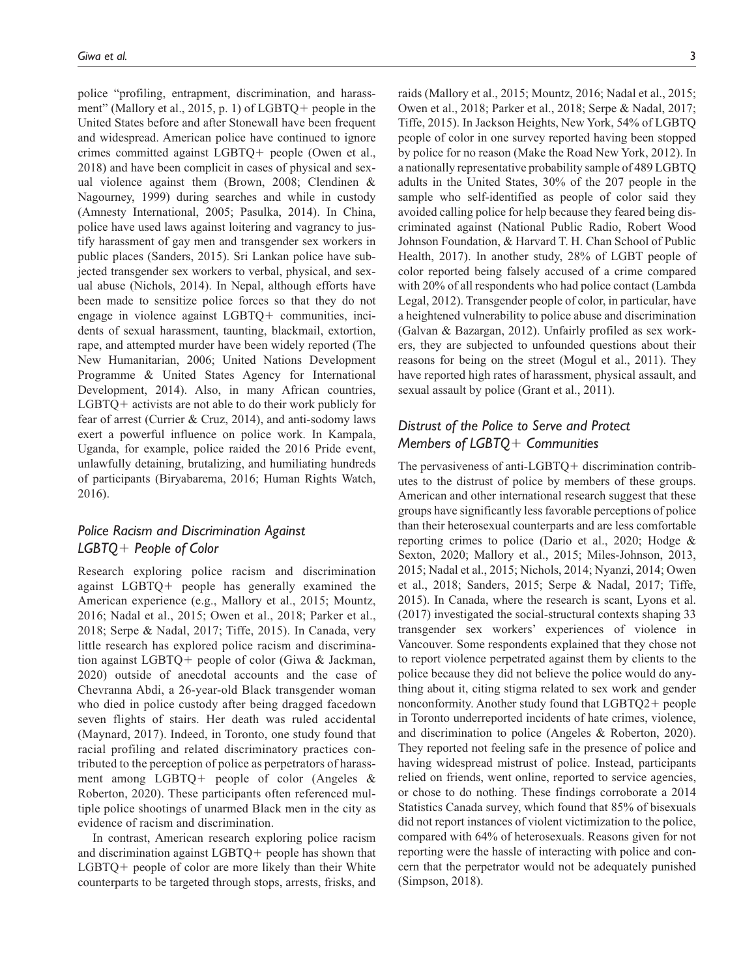police "profiling, entrapment, discrimination, and harassment" (Mallory et al., 2015, p. 1) of LGBTQ+ people in the United States before and after Stonewall have been frequent and widespread. American police have continued to ignore crimes committed against LGBTQ+ people (Owen et al., 2018) and have been complicit in cases of physical and sexual violence against them (Brown, 2008; Clendinen & Nagourney, 1999) during searches and while in custody (Amnesty International, 2005; Pasulka, 2014). In China, police have used laws against loitering and vagrancy to justify harassment of gay men and transgender sex workers in public places (Sanders, 2015). Sri Lankan police have subjected transgender sex workers to verbal, physical, and sexual abuse (Nichols, 2014). In Nepal, although efforts have been made to sensitize police forces so that they do not engage in violence against LGBTQ+ communities, incidents of sexual harassment, taunting, blackmail, extortion, rape, and attempted murder have been widely reported (The New Humanitarian, 2006; United Nations Development Programme & United States Agency for International Development, 2014). Also, in many African countries, LGBTQ+ activists are not able to do their work publicly for fear of arrest (Currier & Cruz, 2014), and anti-sodomy laws exert a powerful influence on police work. In Kampala, Uganda, for example, police raided the 2016 Pride event, unlawfully detaining, brutalizing, and humiliating hundreds of participants (Biryabarema, 2016; Human Rights Watch, 2016).

# *Police Racism and Discrimination Against LGBTQ*+ *People of Color*

Research exploring police racism and discrimination against LGBTQ+ people has generally examined the American experience (e.g., Mallory et al., 2015; Mountz, 2016; Nadal et al., 2015; Owen et al., 2018; Parker et al., 2018; Serpe & Nadal, 2017; Tiffe, 2015). In Canada, very little research has explored police racism and discrimination against LGBTQ+ people of color (Giwa & Jackman, 2020) outside of anecdotal accounts and the case of Chevranna Abdi, a 26-year-old Black transgender woman who died in police custody after being dragged facedown seven flights of stairs. Her death was ruled accidental (Maynard, 2017). Indeed, in Toronto, one study found that racial profiling and related discriminatory practices contributed to the perception of police as perpetrators of harassment among LGBTQ+ people of color (Angeles & Roberton, 2020). These participants often referenced multiple police shootings of unarmed Black men in the city as evidence of racism and discrimination.

In contrast, American research exploring police racism and discrimination against LGBTQ+ people has shown that LGBTQ+ people of color are more likely than their White counterparts to be targeted through stops, arrests, frisks, and

raids (Mallory et al., 2015; Mountz, 2016; Nadal et al., 2015; Owen et al., 2018; Parker et al., 2018; Serpe & Nadal, 2017; Tiffe, 2015). In Jackson Heights, New York, 54% of LGBTQ people of color in one survey reported having been stopped by police for no reason (Make the Road New York, 2012). In a nationally representative probability sample of 489 LGBTQ adults in the United States, 30% of the 207 people in the sample who self-identified as people of color said they avoided calling police for help because they feared being discriminated against (National Public Radio, Robert Wood Johnson Foundation, & Harvard T. H. Chan School of Public Health, 2017). In another study, 28% of LGBT people of color reported being falsely accused of a crime compared with 20% of all respondents who had police contact (Lambda Legal, 2012). Transgender people of color, in particular, have a heightened vulnerability to police abuse and discrimination (Galvan & Bazargan, 2012). Unfairly profiled as sex workers, they are subjected to unfounded questions about their reasons for being on the street (Mogul et al., 2011). They have reported high rates of harassment, physical assault, and sexual assault by police (Grant et al., 2011).

# *Distrust of the Police to Serve and Protect Members of LGBTQ*+ *Communities*

The pervasiveness of anti-LGBTQ+ discrimination contributes to the distrust of police by members of these groups. American and other international research suggest that these groups have significantly less favorable perceptions of police than their heterosexual counterparts and are less comfortable reporting crimes to police (Dario et al., 2020; Hodge & Sexton, 2020; Mallory et al., 2015; Miles-Johnson, 2013, 2015; Nadal et al., 2015; Nichols, 2014; Nyanzi, 2014; Owen et al., 2018; Sanders, 2015; Serpe & Nadal, 2017; Tiffe, 2015). In Canada, where the research is scant, Lyons et al. (2017) investigated the social-structural contexts shaping 33 transgender sex workers' experiences of violence in Vancouver. Some respondents explained that they chose not to report violence perpetrated against them by clients to the police because they did not believe the police would do anything about it, citing stigma related to sex work and gender nonconformity. Another study found that LGBTQ2+ people in Toronto underreported incidents of hate crimes, violence, and discrimination to police (Angeles & Roberton, 2020). They reported not feeling safe in the presence of police and having widespread mistrust of police. Instead, participants relied on friends, went online, reported to service agencies, or chose to do nothing. These findings corroborate a 2014 Statistics Canada survey, which found that 85% of bisexuals did not report instances of violent victimization to the police, compared with 64% of heterosexuals. Reasons given for not reporting were the hassle of interacting with police and concern that the perpetrator would not be adequately punished (Simpson, 2018).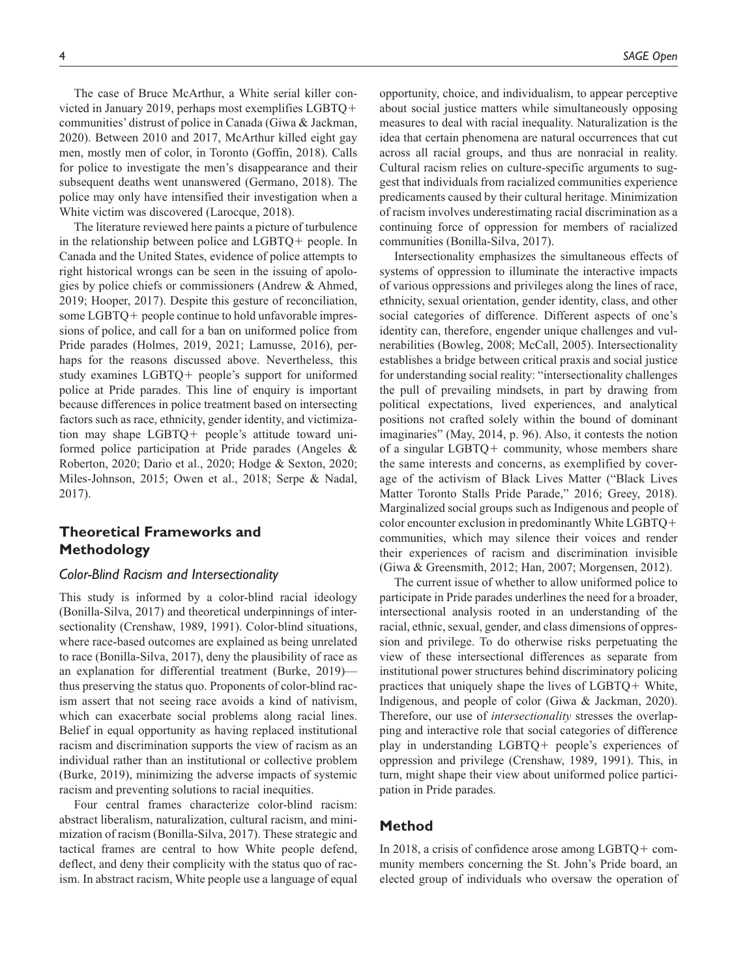The case of Bruce McArthur, a White serial killer convicted in January 2019, perhaps most exemplifies LGBTQ+ communities' distrust of police in Canada (Giwa & Jackman, 2020). Between 2010 and 2017, McArthur killed eight gay men, mostly men of color, in Toronto (Goffin, 2018). Calls for police to investigate the men's disappearance and their subsequent deaths went unanswered (Germano, 2018). The police may only have intensified their investigation when a White victim was discovered (Larocque, 2018).

The literature reviewed here paints a picture of turbulence in the relationship between police and LGBTQ+ people. In Canada and the United States, evidence of police attempts to right historical wrongs can be seen in the issuing of apologies by police chiefs or commissioners (Andrew & Ahmed, 2019; Hooper, 2017). Despite this gesture of reconciliation, some LGBTQ+ people continue to hold unfavorable impressions of police, and call for a ban on uniformed police from Pride parades (Holmes, 2019, 2021; Lamusse, 2016), perhaps for the reasons discussed above. Nevertheless, this study examines LGBTQ+ people's support for uniformed police at Pride parades. This line of enquiry is important because differences in police treatment based on intersecting factors such as race, ethnicity, gender identity, and victimization may shape LGBTQ+ people's attitude toward uniformed police participation at Pride parades (Angeles & Roberton, 2020; Dario et al., 2020; Hodge & Sexton, 2020; Miles-Johnson, 2015; Owen et al., 2018; Serpe & Nadal, 2017).

# **Theoretical Frameworks and Methodology**

### *Color-Blind Racism and Intersectionality*

This study is informed by a color-blind racial ideology (Bonilla-Silva, 2017) and theoretical underpinnings of intersectionality (Crenshaw, 1989, 1991). Color-blind situations, where race-based outcomes are explained as being unrelated to race (Bonilla-Silva, 2017), deny the plausibility of race as an explanation for differential treatment (Burke, 2019) thus preserving the status quo. Proponents of color-blind racism assert that not seeing race avoids a kind of nativism, which can exacerbate social problems along racial lines. Belief in equal opportunity as having replaced institutional racism and discrimination supports the view of racism as an individual rather than an institutional or collective problem (Burke, 2019), minimizing the adverse impacts of systemic racism and preventing solutions to racial inequities.

Four central frames characterize color-blind racism: abstract liberalism, naturalization, cultural racism, and minimization of racism (Bonilla-Silva, 2017). These strategic and tactical frames are central to how White people defend, deflect, and deny their complicity with the status quo of racism. In abstract racism, White people use a language of equal

opportunity, choice, and individualism, to appear perceptive about social justice matters while simultaneously opposing measures to deal with racial inequality. Naturalization is the idea that certain phenomena are natural occurrences that cut across all racial groups, and thus are nonracial in reality. Cultural racism relies on culture-specific arguments to suggest that individuals from racialized communities experience predicaments caused by their cultural heritage. Minimization of racism involves underestimating racial discrimination as a continuing force of oppression for members of racialized communities (Bonilla-Silva, 2017).

Intersectionality emphasizes the simultaneous effects of systems of oppression to illuminate the interactive impacts of various oppressions and privileges along the lines of race, ethnicity, sexual orientation, gender identity, class, and other social categories of difference. Different aspects of one's identity can, therefore, engender unique challenges and vulnerabilities (Bowleg, 2008; McCall, 2005). Intersectionality establishes a bridge between critical praxis and social justice for understanding social reality: "intersectionality challenges the pull of prevailing mindsets, in part by drawing from political expectations, lived experiences, and analytical positions not crafted solely within the bound of dominant imaginaries" (May, 2014, p. 96). Also, it contests the notion of a singular LGBTQ+ community, whose members share the same interests and concerns, as exemplified by coverage of the activism of Black Lives Matter ("Black Lives Matter Toronto Stalls Pride Parade," 2016; Greey, 2018). Marginalized social groups such as Indigenous and people of color encounter exclusion in predominantly White LGBTQ+ communities, which may silence their voices and render their experiences of racism and discrimination invisible (Giwa & Greensmith, 2012; Han, 2007; Morgensen, 2012).

The current issue of whether to allow uniformed police to participate in Pride parades underlines the need for a broader, intersectional analysis rooted in an understanding of the racial, ethnic, sexual, gender, and class dimensions of oppression and privilege. To do otherwise risks perpetuating the view of these intersectional differences as separate from institutional power structures behind discriminatory policing practices that uniquely shape the lives of LGBTQ+ White, Indigenous, and people of color (Giwa & Jackman, 2020). Therefore, our use of *intersectionality* stresses the overlapping and interactive role that social categories of difference play in understanding LGBTQ+ people's experiences of oppression and privilege (Crenshaw, 1989, 1991). This, in turn, might shape their view about uniformed police participation in Pride parades.

### **Method**

In 2018, a crisis of confidence arose among LGBTQ+ community members concerning the St. John's Pride board, an elected group of individuals who oversaw the operation of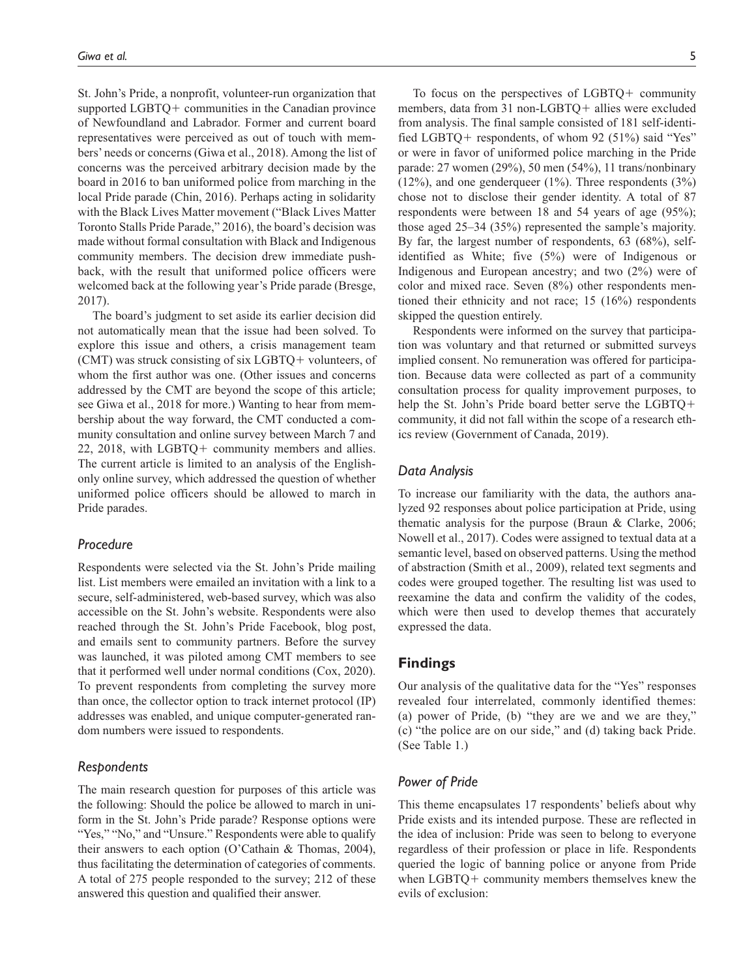St. John's Pride, a nonprofit, volunteer-run organization that supported LGBTQ+ communities in the Canadian province of Newfoundland and Labrador. Former and current board representatives were perceived as out of touch with members' needs or concerns (Giwa et al., 2018). Among the list of concerns was the perceived arbitrary decision made by the board in 2016 to ban uniformed police from marching in the local Pride parade (Chin, 2016). Perhaps acting in solidarity with the Black Lives Matter movement ("Black Lives Matter Toronto Stalls Pride Parade," 2016), the board's decision was made without formal consultation with Black and Indigenous community members. The decision drew immediate pushback, with the result that uniformed police officers were welcomed back at the following year's Pride parade (Bresge, 2017).

The board's judgment to set aside its earlier decision did not automatically mean that the issue had been solved. To explore this issue and others, a crisis management team (CMT) was struck consisting of six LGBTQ+ volunteers, of whom the first author was one. (Other issues and concerns addressed by the CMT are beyond the scope of this article; see Giwa et al., 2018 for more.) Wanting to hear from membership about the way forward, the CMT conducted a community consultation and online survey between March 7 and 22, 2018, with LGBTQ+ community members and allies. The current article is limited to an analysis of the Englishonly online survey, which addressed the question of whether uniformed police officers should be allowed to march in Pride parades.

### *Procedure*

Respondents were selected via the St. John's Pride mailing list. List members were emailed an invitation with a link to a secure, self-administered, web-based survey, which was also accessible on the St. John's website. Respondents were also reached through the St. John's Pride Facebook, blog post, and emails sent to community partners. Before the survey was launched, it was piloted among CMT members to see that it performed well under normal conditions (Cox, 2020). To prevent respondents from completing the survey more than once, the collector option to track internet protocol (IP) addresses was enabled, and unique computer-generated random numbers were issued to respondents.

## *Respondents*

The main research question for purposes of this article was the following: Should the police be allowed to march in uniform in the St. John's Pride parade? Response options were "Yes," "No," and "Unsure." Respondents were able to qualify their answers to each option (O'Cathain & Thomas, 2004), thus facilitating the determination of categories of comments. A total of 275 people responded to the survey; 212 of these answered this question and qualified their answer.

To focus on the perspectives of LGBTQ+ community members, data from 31 non-LGBTQ+ allies were excluded from analysis. The final sample consisted of 181 self-identified LGBTQ+ respondents, of whom 92 (51%) said "Yes" or were in favor of uniformed police marching in the Pride parade: 27 women (29%), 50 men (54%), 11 trans/nonbinary  $(12\%)$ , and one genderqueer  $(1\%)$ . Three respondents  $(3\%)$ chose not to disclose their gender identity. A total of 87 respondents were between 18 and 54 years of age (95%); those aged 25–34 (35%) represented the sample's majority. By far, the largest number of respondents, 63 (68%), selfidentified as White; five (5%) were of Indigenous or Indigenous and European ancestry; and two (2%) were of color and mixed race. Seven (8%) other respondents mentioned their ethnicity and not race; 15 (16%) respondents skipped the question entirely.

Respondents were informed on the survey that participation was voluntary and that returned or submitted surveys implied consent. No remuneration was offered for participation. Because data were collected as part of a community consultation process for quality improvement purposes, to help the St. John's Pride board better serve the LGBTQ+ community, it did not fall within the scope of a research ethics review (Government of Canada, 2019).

### *Data Analysis*

To increase our familiarity with the data, the authors analyzed 92 responses about police participation at Pride, using thematic analysis for the purpose (Braun & Clarke, 2006; Nowell et al., 2017). Codes were assigned to textual data at a semantic level, based on observed patterns. Using the method of abstraction (Smith et al., 2009), related text segments and codes were grouped together. The resulting list was used to reexamine the data and confirm the validity of the codes, which were then used to develop themes that accurately expressed the data.

### **Findings**

Our analysis of the qualitative data for the "Yes" responses revealed four interrelated, commonly identified themes: (a) power of Pride, (b) "they are we and we are they," (c) "the police are on our side," and (d) taking back Pride. (See Table 1.)

### *Power of Pride*

This theme encapsulates 17 respondents' beliefs about why Pride exists and its intended purpose. These are reflected in the idea of inclusion: Pride was seen to belong to everyone regardless of their profession or place in life. Respondents queried the logic of banning police or anyone from Pride when LGBTQ+ community members themselves knew the evils of exclusion: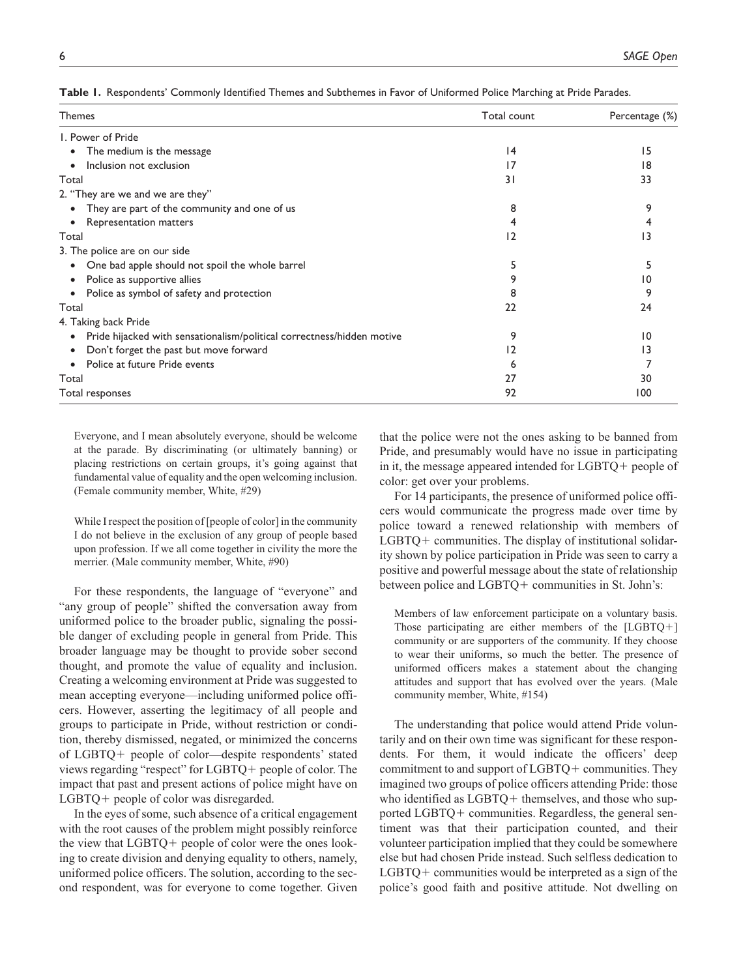|  | Table 1. Respondents' Commonly Identified Themes and Subthemes in Favor of Uniformed Police Marching at Pride Parades. |  |  |  |  |  |  |  |  |  |  |
|--|------------------------------------------------------------------------------------------------------------------------|--|--|--|--|--|--|--|--|--|--|
|--|------------------------------------------------------------------------------------------------------------------------|--|--|--|--|--|--|--|--|--|--|

| Themes                                                                              | Total count | Percentage (%) |
|-------------------------------------------------------------------------------------|-------------|----------------|
| I. Power of Pride                                                                   |             |                |
| The medium is the message<br>$\bullet$                                              | 4           | 15             |
| Inclusion not exclusion                                                             | 17          | 18             |
| Total                                                                               | 31          | 33             |
| 2. "They are we and we are they"                                                    |             |                |
| They are part of the community and one of us                                        | 8           | 9              |
| Representation matters                                                              | 4           |                |
| Total                                                                               | 12          | 13             |
| 3. The police are on our side                                                       |             |                |
| One bad apple should not spoil the whole barrel<br>$\bullet$                        | 5           |                |
| Police as supportive allies<br>$\bullet$                                            | 9           | 10             |
| Police as symbol of safety and protection<br>$\bullet$                              | 8           |                |
| Total                                                                               | 22          | 24             |
| 4. Taking back Pride                                                                |             |                |
| Pride hijacked with sensationalism/political correctness/hidden motive<br>$\bullet$ | 9           | 10             |
| Don't forget the past but move forward                                              | 12          | 13             |
| Police at future Pride events                                                       | 6           |                |
| Total                                                                               | 27          | 30             |
| Total responses                                                                     | 92          | 100            |

Everyone, and I mean absolutely everyone, should be welcome at the parade. By discriminating (or ultimately banning) or placing restrictions on certain groups, it's going against that fundamental value of equality and the open welcoming inclusion. (Female community member, White, #29)

While I respect the position of [people of color] in the community I do not believe in the exclusion of any group of people based upon profession. If we all come together in civility the more the merrier. (Male community member, White, #90)

For these respondents, the language of "everyone" and "any group of people" shifted the conversation away from uniformed police to the broader public, signaling the possible danger of excluding people in general from Pride. This broader language may be thought to provide sober second thought, and promote the value of equality and inclusion. Creating a welcoming environment at Pride was suggested to mean accepting everyone—including uniformed police officers. However, asserting the legitimacy of all people and groups to participate in Pride, without restriction or condition, thereby dismissed, negated, or minimized the concerns of LGBTQ+ people of color—despite respondents' stated views regarding "respect" for LGBTQ+ people of color. The impact that past and present actions of police might have on LGBTQ+ people of color was disregarded.

In the eyes of some, such absence of a critical engagement with the root causes of the problem might possibly reinforce the view that LGBTQ+ people of color were the ones looking to create division and denying equality to others, namely, uniformed police officers. The solution, according to the second respondent, was for everyone to come together. Given

that the police were not the ones asking to be banned from Pride, and presumably would have no issue in participating in it, the message appeared intended for LGBTQ+ people of color: get over your problems.

For 14 participants, the presence of uniformed police officers would communicate the progress made over time by police toward a renewed relationship with members of LGBTQ+ communities. The display of institutional solidarity shown by police participation in Pride was seen to carry a positive and powerful message about the state of relationship between police and LGBTQ+ communities in St. John's:

Members of law enforcement participate on a voluntary basis. Those participating are either members of the [LGBTQ+] community or are supporters of the community. If they choose to wear their uniforms, so much the better. The presence of uniformed officers makes a statement about the changing attitudes and support that has evolved over the years. (Male community member, White, #154)

The understanding that police would attend Pride voluntarily and on their own time was significant for these respondents. For them, it would indicate the officers' deep commitment to and support of LGBTQ+ communities. They imagined two groups of police officers attending Pride: those who identified as LGBTQ+ themselves, and those who supported LGBTQ+ communities. Regardless, the general sentiment was that their participation counted, and their volunteer participation implied that they could be somewhere else but had chosen Pride instead. Such selfless dedication to LGBTQ+ communities would be interpreted as a sign of the police's good faith and positive attitude. Not dwelling on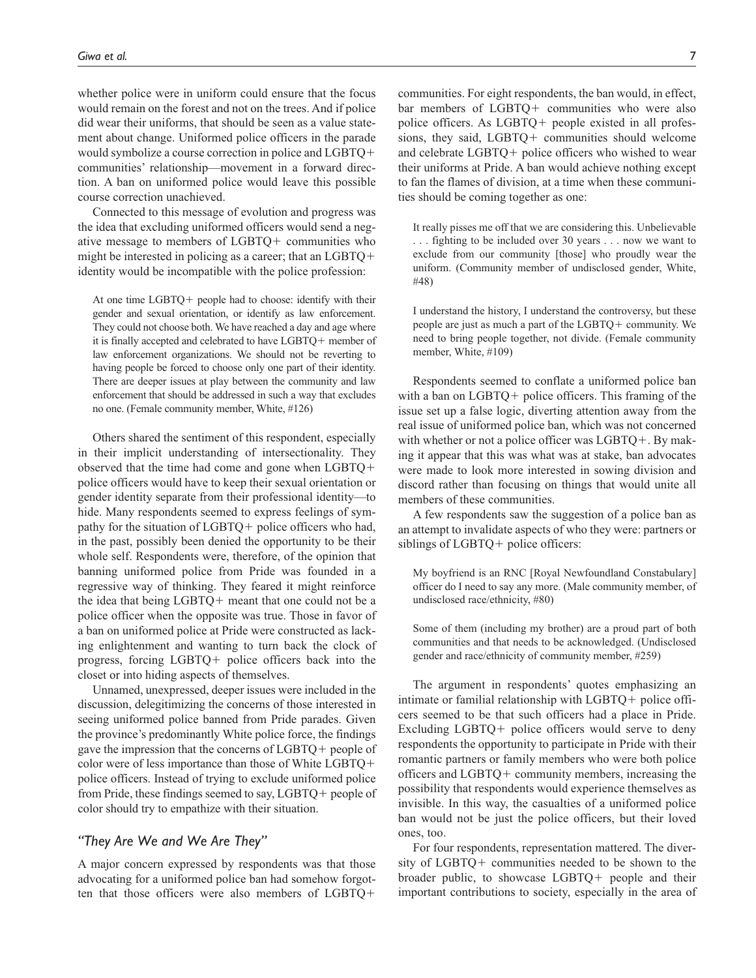whether police were in uniform could ensure that the focus would remain on the forest and not on the trees. And if police did wear their uniforms, that should be seen as a value statement about change. Uniformed police officers in the parade would symbolize a course correction in police and LGBTQ+ communities' relationship—movement in a forward direction. A ban on uniformed police would leave this possible course correction unachieved.

Connected to this message of evolution and progress was the idea that excluding uniformed officers would send a negative message to members of LGBTQ+ communities who might be interested in policing as a career; that an LGBTQ+ identity would be incompatible with the police profession:

At one time LGBTQ+ people had to choose: identify with their gender and sexual orientation, or identify as law enforcement. They could not choose both. We have reached a day and age where it is finally accepted and celebrated to have LGBTQ+ member of law enforcement organizations. We should not be reverting to having people be forced to choose only one part of their identity. There are deeper issues at play between the community and law enforcement that should be addressed in such a way that excludes no one. (Female community member, White, #126)

Others shared the sentiment of this respondent, especially in their implicit understanding of intersectionality. They observed that the time had come and gone when LGBTQ+ police officers would have to keep their sexual orientation or gender identity separate from their professional identity—to hide. Many respondents seemed to express feelings of sympathy for the situation of LGBTQ+ police officers who had, in the past, possibly been denied the opportunity to be their whole self. Respondents were, therefore, of the opinion that banning uniformed police from Pride was founded in a regressive way of thinking. They feared it might reinforce the idea that being LGBTQ+ meant that one could not be a police officer when the opposite was true. Those in favor of a ban on uniformed police at Pride were constructed as lacking enlightenment and wanting to turn back the clock of progress, forcing LGBTQ+ police officers back into the closet or into hiding aspects of themselves.

Unnamed, unexpressed, deeper issues were included in the discussion, delegitimizing the concerns of those interested in seeing uniformed police banned from Pride parades. Given the province's predominantly White police force, the findings gave the impression that the concerns of LGBTQ+ people of color were of less importance than those of White LGBTQ+ police officers. Instead of trying to exclude uniformed police from Pride, these findings seemed to say, LGBTQ+ people of color should try to empathize with their situation.

# *"They Are We and We Are They"*

A major concern expressed by respondents was that those advocating for a uniformed police ban had somehow forgotten that those officers were also members of LGBTQ+

communities. For eight respondents, the ban would, in effect, bar members of LGBTQ+ communities who were also police officers. As LGBTQ+ people existed in all professions, they said, LGBTQ+ communities should welcome and celebrate LGBTQ+ police officers who wished to wear their uniforms at Pride. A ban would achieve nothing except to fan the flames of division, at a time when these communities should be coming together as one:

It really pisses me off that we are considering this. Unbelievable . . . fighting to be included over 30 years . . . now we want to exclude from our community [those] who proudly wear the uniform. (Community member of undisclosed gender, White, #48)

I understand the history, I understand the controversy, but these people are just as much a part of the LGBTQ+ community. We need to bring people together, not divide. (Female community member, White, #109)

Respondents seemed to conflate a uniformed police ban with a ban on LGBTQ+ police officers. This framing of the issue set up a false logic, diverting attention away from the real issue of uniformed police ban, which was not concerned with whether or not a police officer was LGBTQ+. By making it appear that this was what was at stake, ban advocates were made to look more interested in sowing division and discord rather than focusing on things that would unite all members of these communities.

A few respondents saw the suggestion of a police ban as an attempt to invalidate aspects of who they were: partners or siblings of LGBTQ+ police officers:

My boyfriend is an RNC [Royal Newfoundland Constabulary] officer do I need to say any more. (Male community member, of undisclosed race/ethnicity, #80)

Some of them (including my brother) are a proud part of both communities and that needs to be acknowledged. (Undisclosed gender and race/ethnicity of community member, #259)

The argument in respondents' quotes emphasizing an intimate or familial relationship with LGBTQ+ police officers seemed to be that such officers had a place in Pride. Excluding LGBTQ+ police officers would serve to deny respondents the opportunity to participate in Pride with their romantic partners or family members who were both police officers and LGBTQ+ community members, increasing the possibility that respondents would experience themselves as invisible. In this way, the casualties of a uniformed police ban would not be just the police officers, but their loved ones, too.

For four respondents, representation mattered. The diversity of LGBTQ+ communities needed to be shown to the broader public, to showcase LGBTQ+ people and their important contributions to society, especially in the area of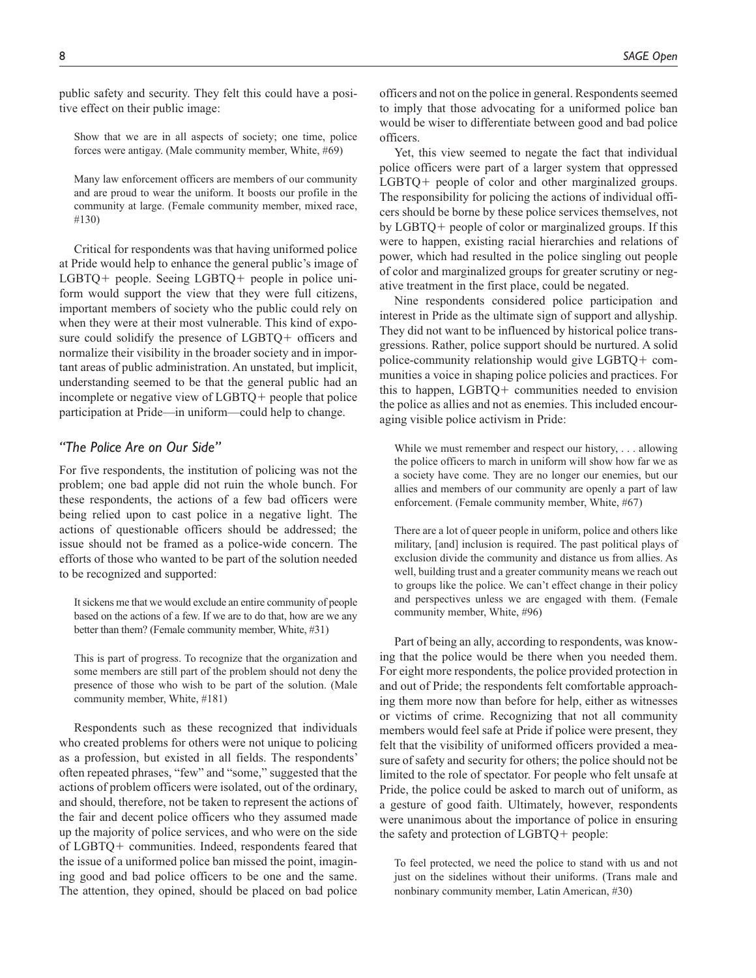public safety and security. They felt this could have a positive effect on their public image:

Show that we are in all aspects of society; one time, police forces were antigay. (Male community member, White, #69)

Many law enforcement officers are members of our community and are proud to wear the uniform. It boosts our profile in the community at large. (Female community member, mixed race, #130)

Critical for respondents was that having uniformed police at Pride would help to enhance the general public's image of LGBTQ+ people. Seeing LGBTQ+ people in police uniform would support the view that they were full citizens, important members of society who the public could rely on when they were at their most vulnerable. This kind of exposure could solidify the presence of LGBTQ+ officers and normalize their visibility in the broader society and in important areas of public administration. An unstated, but implicit, understanding seemed to be that the general public had an incomplete or negative view of LGBTQ+ people that police participation at Pride—in uniform—could help to change.

# *"The Police Are on Our Side"*

For five respondents, the institution of policing was not the problem; one bad apple did not ruin the whole bunch. For these respondents, the actions of a few bad officers were being relied upon to cast police in a negative light. The actions of questionable officers should be addressed; the issue should not be framed as a police-wide concern. The efforts of those who wanted to be part of the solution needed to be recognized and supported:

It sickens me that we would exclude an entire community of people based on the actions of a few. If we are to do that, how are we any better than them? (Female community member, White, #31)

This is part of progress. To recognize that the organization and some members are still part of the problem should not deny the presence of those who wish to be part of the solution. (Male community member, White, #181)

Respondents such as these recognized that individuals who created problems for others were not unique to policing as a profession, but existed in all fields. The respondents' often repeated phrases, "few" and "some," suggested that the actions of problem officers were isolated, out of the ordinary, and should, therefore, not be taken to represent the actions of the fair and decent police officers who they assumed made up the majority of police services, and who were on the side of LGBTQ+ communities. Indeed, respondents feared that the issue of a uniformed police ban missed the point, imagining good and bad police officers to be one and the same. The attention, they opined, should be placed on bad police

officers and not on the police in general. Respondents seemed to imply that those advocating for a uniformed police ban would be wiser to differentiate between good and bad police officers.

Yet, this view seemed to negate the fact that individual police officers were part of a larger system that oppressed LGBTQ+ people of color and other marginalized groups. The responsibility for policing the actions of individual officers should be borne by these police services themselves, not by LGBTQ+ people of color or marginalized groups. If this were to happen, existing racial hierarchies and relations of power, which had resulted in the police singling out people of color and marginalized groups for greater scrutiny or negative treatment in the first place, could be negated.

Nine respondents considered police participation and interest in Pride as the ultimate sign of support and allyship. They did not want to be influenced by historical police transgressions. Rather, police support should be nurtured. A solid police-community relationship would give LGBTQ+ communities a voice in shaping police policies and practices. For this to happen, LGBTQ+ communities needed to envision the police as allies and not as enemies. This included encouraging visible police activism in Pride:

While we must remember and respect our history, . . . allowing the police officers to march in uniform will show how far we as a society have come. They are no longer our enemies, but our allies and members of our community are openly a part of law enforcement. (Female community member, White, #67)

There are a lot of queer people in uniform, police and others like military, [and] inclusion is required. The past political plays of exclusion divide the community and distance us from allies. As well, building trust and a greater community means we reach out to groups like the police. We can't effect change in their policy and perspectives unless we are engaged with them. (Female community member, White, #96)

Part of being an ally, according to respondents, was knowing that the police would be there when you needed them. For eight more respondents, the police provided protection in and out of Pride; the respondents felt comfortable approaching them more now than before for help, either as witnesses or victims of crime. Recognizing that not all community members would feel safe at Pride if police were present, they felt that the visibility of uniformed officers provided a measure of safety and security for others; the police should not be limited to the role of spectator. For people who felt unsafe at Pride, the police could be asked to march out of uniform, as a gesture of good faith. Ultimately, however, respondents were unanimous about the importance of police in ensuring the safety and protection of LGBTQ+ people:

To feel protected, we need the police to stand with us and not just on the sidelines without their uniforms. (Trans male and nonbinary community member, Latin American, #30)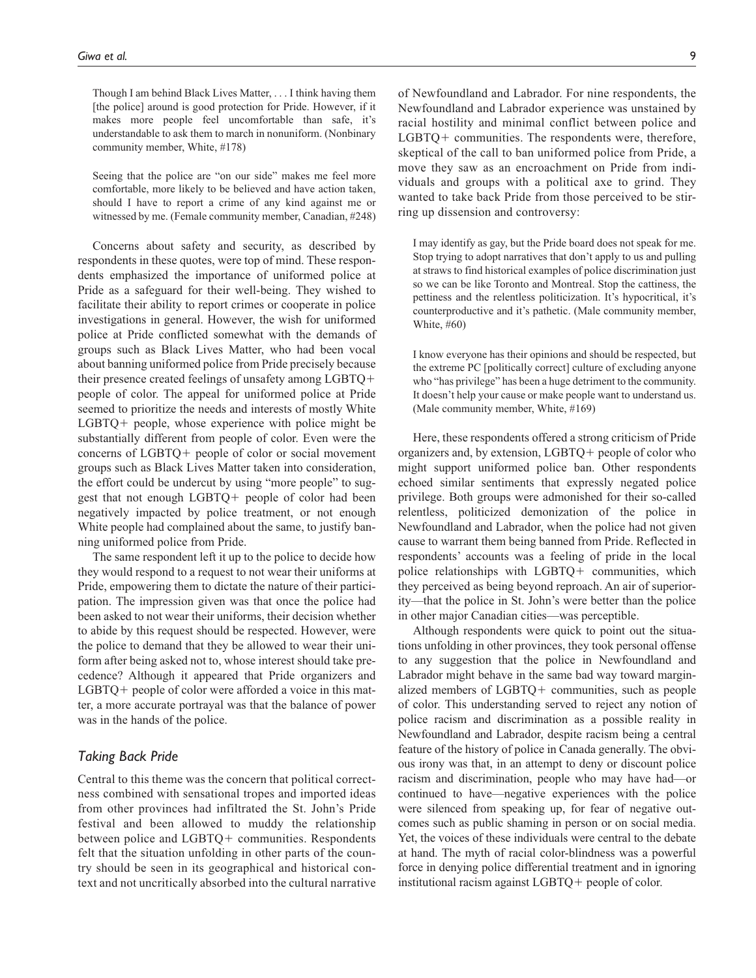Though I am behind Black Lives Matter, . . . I think having them [the police] around is good protection for Pride. However, if it makes more people feel uncomfortable than safe, it's understandable to ask them to march in nonuniform. (Nonbinary community member, White, #178)

Seeing that the police are "on our side" makes me feel more comfortable, more likely to be believed and have action taken, should I have to report a crime of any kind against me or witnessed by me. (Female community member, Canadian, #248)

Concerns about safety and security, as described by respondents in these quotes, were top of mind. These respondents emphasized the importance of uniformed police at Pride as a safeguard for their well-being. They wished to facilitate their ability to report crimes or cooperate in police investigations in general. However, the wish for uniformed police at Pride conflicted somewhat with the demands of groups such as Black Lives Matter, who had been vocal about banning uniformed police from Pride precisely because their presence created feelings of unsafety among LGBTQ+ people of color. The appeal for uniformed police at Pride seemed to prioritize the needs and interests of mostly White LGBTQ+ people, whose experience with police might be substantially different from people of color. Even were the concerns of LGBTQ+ people of color or social movement groups such as Black Lives Matter taken into consideration, the effort could be undercut by using "more people" to suggest that not enough LGBTQ+ people of color had been negatively impacted by police treatment, or not enough White people had complained about the same, to justify banning uniformed police from Pride.

The same respondent left it up to the police to decide how they would respond to a request to not wear their uniforms at Pride, empowering them to dictate the nature of their participation. The impression given was that once the police had been asked to not wear their uniforms, their decision whether to abide by this request should be respected. However, were the police to demand that they be allowed to wear their uniform after being asked not to, whose interest should take precedence? Although it appeared that Pride organizers and LGBTQ+ people of color were afforded a voice in this matter, a more accurate portrayal was that the balance of power was in the hands of the police.

# *Taking Back Pride*

Central to this theme was the concern that political correctness combined with sensational tropes and imported ideas from other provinces had infiltrated the St. John's Pride festival and been allowed to muddy the relationship between police and LGBTQ+ communities. Respondents felt that the situation unfolding in other parts of the country should be seen in its geographical and historical context and not uncritically absorbed into the cultural narrative

of Newfoundland and Labrador. For nine respondents, the Newfoundland and Labrador experience was unstained by racial hostility and minimal conflict between police and LGBTQ+ communities. The respondents were, therefore, skeptical of the call to ban uniformed police from Pride, a move they saw as an encroachment on Pride from individuals and groups with a political axe to grind. They wanted to take back Pride from those perceived to be stirring up dissension and controversy:

I may identify as gay, but the Pride board does not speak for me. Stop trying to adopt narratives that don't apply to us and pulling at straws to find historical examples of police discrimination just so we can be like Toronto and Montreal. Stop the cattiness, the pettiness and the relentless politicization. It's hypocritical, it's counterproductive and it's pathetic. (Male community member, White, #60)

I know everyone has their opinions and should be respected, but the extreme PC [politically correct] culture of excluding anyone who "has privilege" has been a huge detriment to the community. It doesn't help your cause or make people want to understand us. (Male community member, White, #169)

Here, these respondents offered a strong criticism of Pride organizers and, by extension, LGBTQ+ people of color who might support uniformed police ban. Other respondents echoed similar sentiments that expressly negated police privilege. Both groups were admonished for their so-called relentless, politicized demonization of the police in Newfoundland and Labrador, when the police had not given cause to warrant them being banned from Pride. Reflected in respondents' accounts was a feeling of pride in the local police relationships with LGBTQ+ communities, which they perceived as being beyond reproach. An air of superiority—that the police in St. John's were better than the police in other major Canadian cities—was perceptible.

Although respondents were quick to point out the situations unfolding in other provinces, they took personal offense to any suggestion that the police in Newfoundland and Labrador might behave in the same bad way toward marginalized members of LGBTQ+ communities, such as people of color. This understanding served to reject any notion of police racism and discrimination as a possible reality in Newfoundland and Labrador, despite racism being a central feature of the history of police in Canada generally. The obvious irony was that, in an attempt to deny or discount police racism and discrimination, people who may have had—or continued to have—negative experiences with the police were silenced from speaking up, for fear of negative outcomes such as public shaming in person or on social media. Yet, the voices of these individuals were central to the debate at hand. The myth of racial color-blindness was a powerful force in denying police differential treatment and in ignoring institutional racism against LGBTQ+ people of color.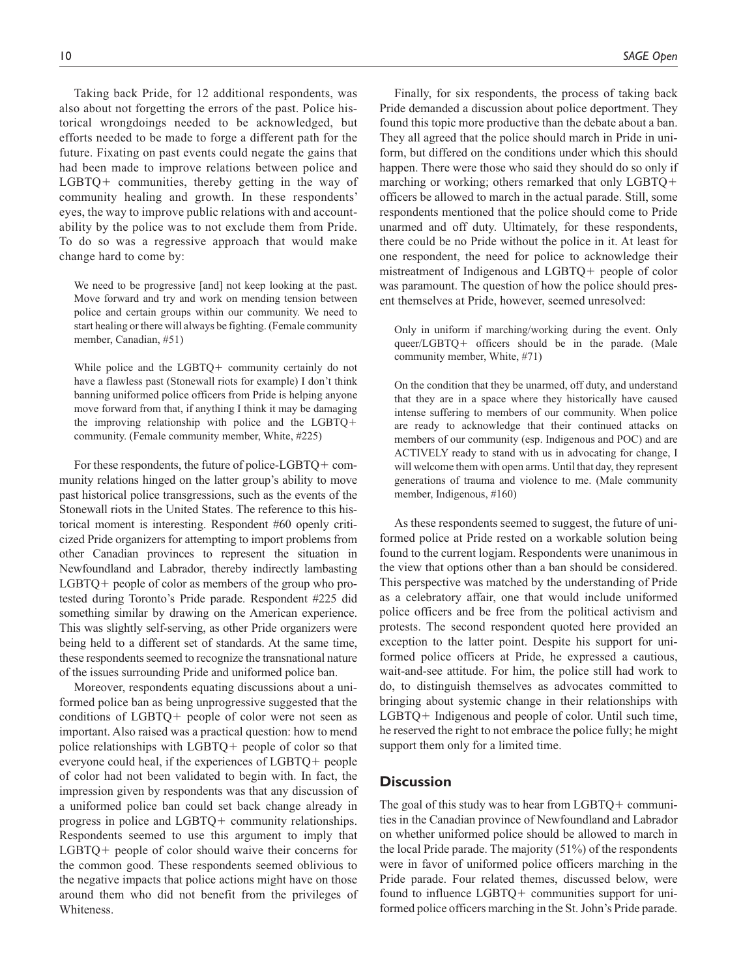Taking back Pride, for 12 additional respondents, was also about not forgetting the errors of the past. Police historical wrongdoings needed to be acknowledged, but efforts needed to be made to forge a different path for the future. Fixating on past events could negate the gains that had been made to improve relations between police and LGBTQ+ communities, thereby getting in the way of community healing and growth. In these respondents' eyes, the way to improve public relations with and accountability by the police was to not exclude them from Pride. To do so was a regressive approach that would make change hard to come by:

We need to be progressive [and] not keep looking at the past. Move forward and try and work on mending tension between police and certain groups within our community. We need to start healing or there will always be fighting. (Female community member, Canadian, #51)

While police and the LGBTQ+ community certainly do not have a flawless past (Stonewall riots for example) I don't think banning uniformed police officers from Pride is helping anyone move forward from that, if anything I think it may be damaging the improving relationship with police and the LGBTQ+ community. (Female community member, White, #225)

For these respondents, the future of police-LGBTQ+ community relations hinged on the latter group's ability to move past historical police transgressions, such as the events of the Stonewall riots in the United States. The reference to this historical moment is interesting. Respondent #60 openly criticized Pride organizers for attempting to import problems from other Canadian provinces to represent the situation in Newfoundland and Labrador, thereby indirectly lambasting LGBTQ+ people of color as members of the group who protested during Toronto's Pride parade. Respondent #225 did something similar by drawing on the American experience. This was slightly self-serving, as other Pride organizers were being held to a different set of standards. At the same time, these respondents seemed to recognize the transnational nature of the issues surrounding Pride and uniformed police ban.

Moreover, respondents equating discussions about a uniformed police ban as being unprogressive suggested that the conditions of LGBTQ+ people of color were not seen as important. Also raised was a practical question: how to mend police relationships with LGBTQ+ people of color so that everyone could heal, if the experiences of LGBTQ+ people of color had not been validated to begin with. In fact, the impression given by respondents was that any discussion of a uniformed police ban could set back change already in progress in police and LGBTQ+ community relationships. Respondents seemed to use this argument to imply that LGBTQ+ people of color should waive their concerns for the common good. These respondents seemed oblivious to the negative impacts that police actions might have on those around them who did not benefit from the privileges of Whiteness.

Finally, for six respondents, the process of taking back Pride demanded a discussion about police deportment. They found this topic more productive than the debate about a ban. They all agreed that the police should march in Pride in uniform, but differed on the conditions under which this should happen. There were those who said they should do so only if marching or working; others remarked that only LGBTQ+ officers be allowed to march in the actual parade. Still, some respondents mentioned that the police should come to Pride unarmed and off duty. Ultimately, for these respondents, there could be no Pride without the police in it. At least for one respondent, the need for police to acknowledge their mistreatment of Indigenous and LGBTQ+ people of color was paramount. The question of how the police should present themselves at Pride, however, seemed unresolved:

Only in uniform if marching/working during the event. Only queer/LGBTQ+ officers should be in the parade. (Male community member, White, #71)

On the condition that they be unarmed, off duty, and understand that they are in a space where they historically have caused intense suffering to members of our community. When police are ready to acknowledge that their continued attacks on members of our community (esp. Indigenous and POC) and are ACTIVELY ready to stand with us in advocating for change, I will welcome them with open arms. Until that day, they represent generations of trauma and violence to me. (Male community member, Indigenous, #160)

As these respondents seemed to suggest, the future of uniformed police at Pride rested on a workable solution being found to the current logjam. Respondents were unanimous in the view that options other than a ban should be considered. This perspective was matched by the understanding of Pride as a celebratory affair, one that would include uniformed police officers and be free from the political activism and protests. The second respondent quoted here provided an exception to the latter point. Despite his support for uniformed police officers at Pride, he expressed a cautious, wait-and-see attitude. For him, the police still had work to do, to distinguish themselves as advocates committed to bringing about systemic change in their relationships with LGBTQ+ Indigenous and people of color. Until such time, he reserved the right to not embrace the police fully; he might support them only for a limited time.

# **Discussion**

The goal of this study was to hear from LGBTQ+ communities in the Canadian province of Newfoundland and Labrador on whether uniformed police should be allowed to march in the local Pride parade. The majority (51%) of the respondents were in favor of uniformed police officers marching in the Pride parade. Four related themes, discussed below, were found to influence LGBTQ+ communities support for uniformed police officers marching in the St. John's Pride parade.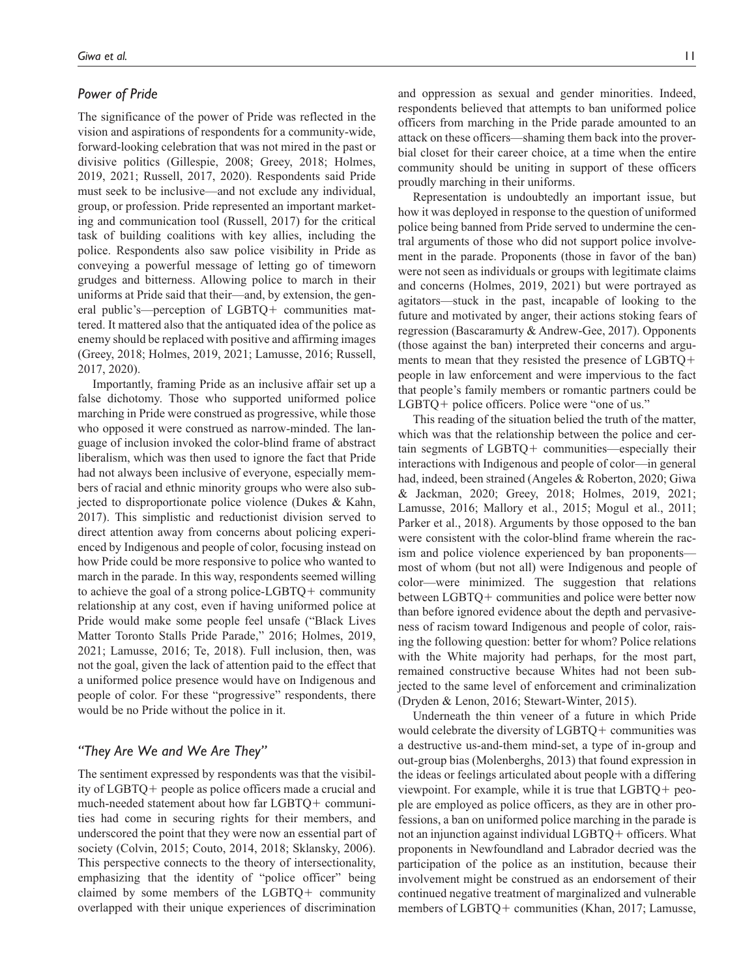### *Power of Pride*

The significance of the power of Pride was reflected in the vision and aspirations of respondents for a community-wide, forward-looking celebration that was not mired in the past or divisive politics (Gillespie, 2008; Greey, 2018; Holmes, 2019, 2021; Russell, 2017, 2020). Respondents said Pride must seek to be inclusive—and not exclude any individual, group, or profession. Pride represented an important marketing and communication tool (Russell, 2017) for the critical task of building coalitions with key allies, including the police. Respondents also saw police visibility in Pride as conveying a powerful message of letting go of timeworn grudges and bitterness. Allowing police to march in their uniforms at Pride said that their—and, by extension, the general public's—perception of LGBTQ+ communities mattered. It mattered also that the antiquated idea of the police as enemy should be replaced with positive and affirming images (Greey, 2018; Holmes, 2019, 2021; Lamusse, 2016; Russell, 2017, 2020).

Importantly, framing Pride as an inclusive affair set up a false dichotomy. Those who supported uniformed police marching in Pride were construed as progressive, while those who opposed it were construed as narrow-minded. The language of inclusion invoked the color-blind frame of abstract liberalism, which was then used to ignore the fact that Pride had not always been inclusive of everyone, especially members of racial and ethnic minority groups who were also subjected to disproportionate police violence (Dukes & Kahn, 2017). This simplistic and reductionist division served to direct attention away from concerns about policing experienced by Indigenous and people of color, focusing instead on how Pride could be more responsive to police who wanted to march in the parade. In this way, respondents seemed willing to achieve the goal of a strong police-LGBTQ+ community relationship at any cost, even if having uniformed police at Pride would make some people feel unsafe ("Black Lives Matter Toronto Stalls Pride Parade," 2016; Holmes, 2019, 2021; Lamusse, 2016; Te, 2018). Full inclusion, then, was not the goal, given the lack of attention paid to the effect that a uniformed police presence would have on Indigenous and people of color. For these "progressive" respondents, there would be no Pride without the police in it.

### *"They Are We and We Are They"*

The sentiment expressed by respondents was that the visibility of LGBTQ+ people as police officers made a crucial and much-needed statement about how far LGBTQ+ communities had come in securing rights for their members, and underscored the point that they were now an essential part of society (Colvin, 2015; Couto, 2014, 2018; Sklansky, 2006). This perspective connects to the theory of intersectionality, emphasizing that the identity of "police officer" being claimed by some members of the LGBTQ+ community overlapped with their unique experiences of discrimination

and oppression as sexual and gender minorities. Indeed, respondents believed that attempts to ban uniformed police officers from marching in the Pride parade amounted to an attack on these officers—shaming them back into the proverbial closet for their career choice, at a time when the entire community should be uniting in support of these officers proudly marching in their uniforms.

Representation is undoubtedly an important issue, but how it was deployed in response to the question of uniformed police being banned from Pride served to undermine the central arguments of those who did not support police involvement in the parade. Proponents (those in favor of the ban) were not seen as individuals or groups with legitimate claims and concerns (Holmes, 2019, 2021) but were portrayed as agitators—stuck in the past, incapable of looking to the future and motivated by anger, their actions stoking fears of regression (Bascaramurty & Andrew-Gee, 2017). Opponents (those against the ban) interpreted their concerns and arguments to mean that they resisted the presence of LGBTQ+ people in law enforcement and were impervious to the fact that people's family members or romantic partners could be LGBTQ+ police officers. Police were "one of us."

This reading of the situation belied the truth of the matter, which was that the relationship between the police and certain segments of LGBTQ+ communities—especially their interactions with Indigenous and people of color—in general had, indeed, been strained (Angeles & Roberton, 2020; Giwa & Jackman, 2020; Greey, 2018; Holmes, 2019, 2021; Lamusse, 2016; Mallory et al., 2015; Mogul et al., 2011; Parker et al., 2018). Arguments by those opposed to the ban were consistent with the color-blind frame wherein the racism and police violence experienced by ban proponents most of whom (but not all) were Indigenous and people of color—were minimized. The suggestion that relations between LGBTQ+ communities and police were better now than before ignored evidence about the depth and pervasiveness of racism toward Indigenous and people of color, raising the following question: better for whom? Police relations with the White majority had perhaps, for the most part, remained constructive because Whites had not been subjected to the same level of enforcement and criminalization (Dryden & Lenon, 2016; Stewart-Winter, 2015).

Underneath the thin veneer of a future in which Pride would celebrate the diversity of LGBTQ+ communities was a destructive us-and-them mind-set, a type of in-group and out-group bias (Molenberghs, 2013) that found expression in the ideas or feelings articulated about people with a differing viewpoint. For example, while it is true that LGBTQ+ people are employed as police officers, as they are in other professions, a ban on uniformed police marching in the parade is not an injunction against individual LGBTQ+ officers. What proponents in Newfoundland and Labrador decried was the participation of the police as an institution, because their involvement might be construed as an endorsement of their continued negative treatment of marginalized and vulnerable members of LGBTQ+ communities (Khan, 2017; Lamusse,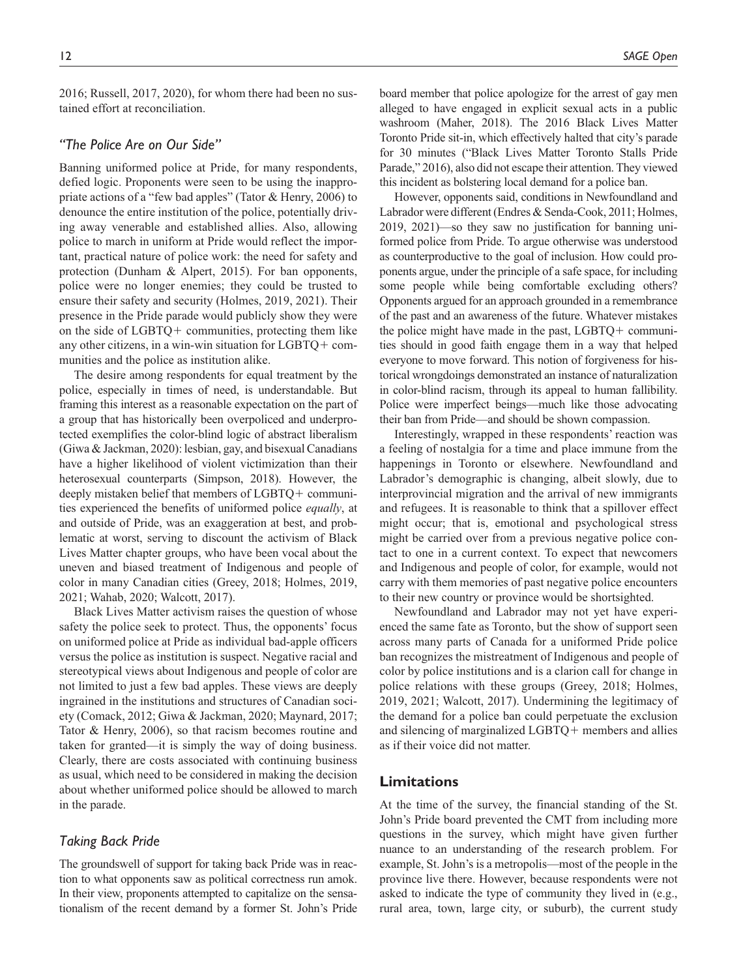2016; Russell, 2017, 2020), for whom there had been no sustained effort at reconciliation.

# *"The Police Are on Our Side"*

Banning uniformed police at Pride, for many respondents, defied logic. Proponents were seen to be using the inappropriate actions of a "few bad apples" (Tator & Henry, 2006) to denounce the entire institution of the police, potentially driving away venerable and established allies. Also, allowing police to march in uniform at Pride would reflect the important, practical nature of police work: the need for safety and protection (Dunham & Alpert, 2015). For ban opponents, police were no longer enemies; they could be trusted to ensure their safety and security (Holmes, 2019, 2021). Their presence in the Pride parade would publicly show they were on the side of LGBTQ+ communities, protecting them like any other citizens, in a win-win situation for LGBTQ+ communities and the police as institution alike.

The desire among respondents for equal treatment by the police, especially in times of need, is understandable. But framing this interest as a reasonable expectation on the part of a group that has historically been overpoliced and underprotected exemplifies the color-blind logic of abstract liberalism (Giwa & Jackman, 2020): lesbian, gay, and bisexual Canadians have a higher likelihood of violent victimization than their heterosexual counterparts (Simpson, 2018). However, the deeply mistaken belief that members of LGBTQ+ communities experienced the benefits of uniformed police *equally*, at and outside of Pride, was an exaggeration at best, and problematic at worst, serving to discount the activism of Black Lives Matter chapter groups, who have been vocal about the uneven and biased treatment of Indigenous and people of color in many Canadian cities (Greey, 2018; Holmes, 2019, 2021; Wahab, 2020; Walcott, 2017).

Black Lives Matter activism raises the question of whose safety the police seek to protect. Thus, the opponents' focus on uniformed police at Pride as individual bad-apple officers versus the police as institution is suspect. Negative racial and stereotypical views about Indigenous and people of color are not limited to just a few bad apples. These views are deeply ingrained in the institutions and structures of Canadian society (Comack, 2012; Giwa & Jackman, 2020; Maynard, 2017; Tator & Henry, 2006), so that racism becomes routine and taken for granted—it is simply the way of doing business. Clearly, there are costs associated with continuing business as usual, which need to be considered in making the decision about whether uniformed police should be allowed to march in the parade.

### *Taking Back Pride*

The groundswell of support for taking back Pride was in reaction to what opponents saw as political correctness run amok. In their view, proponents attempted to capitalize on the sensationalism of the recent demand by a former St. John's Pride board member that police apologize for the arrest of gay men alleged to have engaged in explicit sexual acts in a public washroom (Maher, 2018). The 2016 Black Lives Matter Toronto Pride sit-in, which effectively halted that city's parade for 30 minutes ("Black Lives Matter Toronto Stalls Pride Parade," 2016), also did not escape their attention. They viewed this incident as bolstering local demand for a police ban.

However, opponents said, conditions in Newfoundland and Labrador were different (Endres & Senda-Cook, 2011; Holmes, 2019, 2021)—so they saw no justification for banning uniformed police from Pride. To argue otherwise was understood as counterproductive to the goal of inclusion. How could proponents argue, under the principle of a safe space, for including some people while being comfortable excluding others? Opponents argued for an approach grounded in a remembrance of the past and an awareness of the future. Whatever mistakes the police might have made in the past, LGBTQ+ communities should in good faith engage them in a way that helped everyone to move forward. This notion of forgiveness for historical wrongdoings demonstrated an instance of naturalization in color-blind racism, through its appeal to human fallibility. Police were imperfect beings—much like those advocating their ban from Pride—and should be shown compassion.

Interestingly, wrapped in these respondents' reaction was a feeling of nostalgia for a time and place immune from the happenings in Toronto or elsewhere. Newfoundland and Labrador's demographic is changing, albeit slowly, due to interprovincial migration and the arrival of new immigrants and refugees. It is reasonable to think that a spillover effect might occur; that is, emotional and psychological stress might be carried over from a previous negative police contact to one in a current context. To expect that newcomers and Indigenous and people of color, for example, would not carry with them memories of past negative police encounters to their new country or province would be shortsighted.

Newfoundland and Labrador may not yet have experienced the same fate as Toronto, but the show of support seen across many parts of Canada for a uniformed Pride police ban recognizes the mistreatment of Indigenous and people of color by police institutions and is a clarion call for change in police relations with these groups (Greey, 2018; Holmes, 2019, 2021; Walcott, 2017). Undermining the legitimacy of the demand for a police ban could perpetuate the exclusion and silencing of marginalized LGBTQ+ members and allies as if their voice did not matter.

### **Limitations**

At the time of the survey, the financial standing of the St. John's Pride board prevented the CMT from including more questions in the survey, which might have given further nuance to an understanding of the research problem. For example, St. John's is a metropolis—most of the people in the province live there. However, because respondents were not asked to indicate the type of community they lived in (e.g., rural area, town, large city, or suburb), the current study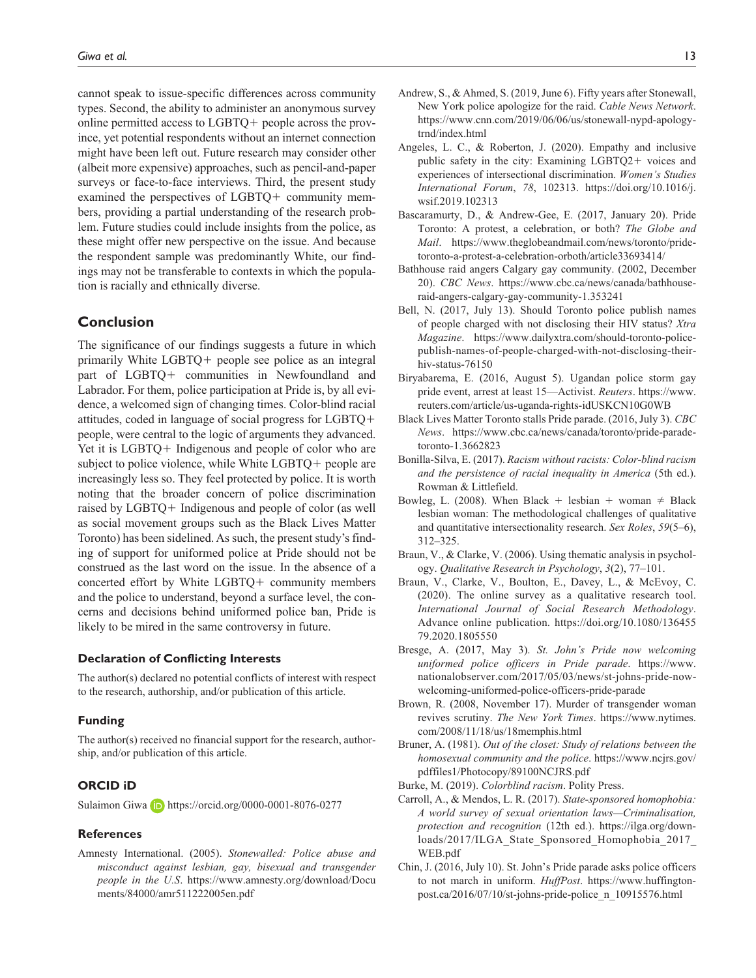cannot speak to issue-specific differences across community types. Second, the ability to administer an anonymous survey online permitted access to LGBTQ+ people across the province, yet potential respondents without an internet connection might have been left out. Future research may consider other (albeit more expensive) approaches, such as pencil-and-paper surveys or face-to-face interviews. Third, the present study examined the perspectives of LGBTQ+ community members, providing a partial understanding of the research problem. Future studies could include insights from the police, as these might offer new perspective on the issue. And because the respondent sample was predominantly White, our findings may not be transferable to contexts in which the population is racially and ethnically diverse.

# **Conclusion**

The significance of our findings suggests a future in which primarily White LGBTQ+ people see police as an integral part of LGBTQ+ communities in Newfoundland and Labrador. For them, police participation at Pride is, by all evidence, a welcomed sign of changing times. Color-blind racial attitudes, coded in language of social progress for LGBTQ+ people, were central to the logic of arguments they advanced. Yet it is LGBTQ+ Indigenous and people of color who are subject to police violence, while White LGBTQ+ people are increasingly less so. They feel protected by police. It is worth noting that the broader concern of police discrimination raised by LGBTQ+ Indigenous and people of color (as well as social movement groups such as the Black Lives Matter Toronto) has been sidelined. As such, the present study's finding of support for uniformed police at Pride should not be construed as the last word on the issue. In the absence of a concerted effort by White LGBTQ+ community members and the police to understand, beyond a surface level, the concerns and decisions behind uniformed police ban, Pride is likely to be mired in the same controversy in future.

#### **Declaration of Conflicting Interests**

The author(s) declared no potential conflicts of interest with respect to the research, authorship, and/or publication of this article.

#### **Funding**

The author(s) received no financial support for the research, authorship, and/or publication of this article.

# **ORCID iD**

Sulaimon Giwa **b** <https://orcid.org/0000-0001-8076-0277>

### **References**

Amnesty International. (2005). *Stonewalled: Police abuse and misconduct against lesbian, gay, bisexual and transgender people in the U.S*. [https://www.amnesty.org/download/Docu](https://www.amnesty.org/download/Documents/84000/amr511222005en.pdf) [ments/84000/amr511222005en.pdf](https://www.amnesty.org/download/Documents/84000/amr511222005en.pdf)

- Andrew, S., & Ahmed, S. (2019, June 6). Fifty years after Stonewall, New York police apologize for the raid. *Cable News Network*. [https://www.cnn.com/2019/06/06/us/stonewall-nypd-apology](https://www.cnn.com/2019/06/06/us/stonewall-nypd-apology-trnd/index.html)[trnd/index.html](https://www.cnn.com/2019/06/06/us/stonewall-nypd-apology-trnd/index.html)
- Angeles, L. C., & Roberton, J. (2020). Empathy and inclusive public safety in the city: Examining LGBTQ2+ voices and experiences of intersectional discrimination. *Women's Studies International Forum*, *78*, 102313. [https://doi.org/10.1016/j.](https://doi.org/10.1016/j.wsif.2019.102313) [wsif.2019.102313](https://doi.org/10.1016/j.wsif.2019.102313)
- Bascaramurty, D., & Andrew-Gee, E. (2017, January 20). Pride Toronto: A protest, a celebration, or both? *The Globe and Mail*. [https://www.theglobeandmail.com/news/toronto/pride](https://www.theglobeandmail.com/news/toronto/pride-toronto-a-protest-a-celebration-orboth/article33693414/)[toronto-a-protest-a-celebration-orboth/article33693414/](https://www.theglobeandmail.com/news/toronto/pride-toronto-a-protest-a-celebration-orboth/article33693414/)
- Bathhouse raid angers Calgary gay community. (2002, December 20). *CBC News*. [https://www.cbc.ca/news/canada/bathhouse](https://www.cbc.ca/news/canada/bathhouse-raid-angers-calgary-gay-community-1.353241)[raid-angers-calgary-gay-community-1.353241](https://www.cbc.ca/news/canada/bathhouse-raid-angers-calgary-gay-community-1.353241)
- Bell, N. (2017, July 13). Should Toronto police publish names of people charged with not disclosing their HIV status? *Xtra Magazine*. [https://www.dailyxtra.com/should-toronto-police](https://www.dailyxtra.com/should-toronto-police-publish-names-of-people-charged-with-not-disclosing-their-hiv-status-76150)[publish-names-of-people-charged-with-not-disclosing-their](https://www.dailyxtra.com/should-toronto-police-publish-names-of-people-charged-with-not-disclosing-their-hiv-status-76150)[hiv-status-76150](https://www.dailyxtra.com/should-toronto-police-publish-names-of-people-charged-with-not-disclosing-their-hiv-status-76150)
- Biryabarema, E. (2016, August 5). Ugandan police storm gay pride event, arrest at least 15—Activist. *Reuters*. [https://www.](https://www.reuters.com/article/us-uganda-rights-idUSKCN10G0WB) [reuters.com/article/us-uganda-rights-idUSKCN10G0WB](https://www.reuters.com/article/us-uganda-rights-idUSKCN10G0WB)
- Black Lives Matter Toronto stalls Pride parade. (2016, July 3). *CBC News*. [https://www.cbc.ca/news/canada/toronto/pride-parade](https://www.cbc.ca/news/canada/toronto/pride-parade-toronto-1.3662823)[toronto-1.3662823](https://www.cbc.ca/news/canada/toronto/pride-parade-toronto-1.3662823)
- Bonilla-Silva, E. (2017). *Racism without racists: Color-blind racism and the persistence of racial inequality in America* (5th ed.). Rowman & Littlefield.
- Bowleg, L. (2008). When Black + lesbian + woman  $\neq$  Black lesbian woman: The methodological challenges of qualitative and quantitative intersectionality research. *Sex Roles*, *59*(5–6), 312–325.
- Braun, V., & Clarke, V. (2006). Using thematic analysis in psychology. *Qualitative Research in Psychology*, *3*(2), 77–101.
- Braun, V., Clarke, V., Boulton, E., Davey, L., & McEvoy, C. (2020). The online survey as a qualitative research tool. *International Journal of Social Research Methodology*. Advance online publication. [https://doi.org/10.1080/136455](https://doi.org/10.1080/13645579.2020.1805550) [79.2020.1805550](https://doi.org/10.1080/13645579.2020.1805550)
- Bresge, A. (2017, May 3). *St. John's Pride now welcoming uniformed police officers in Pride parade*. [https://www.](https://www.nationalobserver.com/2017/05/03/news/st-johns-pride-now-welcoming-uniformed-police-officers-pride-parade) [nationalobserver.com/2017/05/03/news/st-johns-pride-now](https://www.nationalobserver.com/2017/05/03/news/st-johns-pride-now-welcoming-uniformed-police-officers-pride-parade)[welcoming-uniformed-police-officers-pride-parade](https://www.nationalobserver.com/2017/05/03/news/st-johns-pride-now-welcoming-uniformed-police-officers-pride-parade)
- Brown, R. (2008, November 17). Murder of transgender woman revives scrutiny. *The New York Times*. [https://www.nytimes.](https://www.nytimes.com/2008/11/18/us/18memphis.html) [com/2008/11/18/us/18memphis.html](https://www.nytimes.com/2008/11/18/us/18memphis.html)
- Bruner, A. (1981). *Out of the closet: Study of relations between the homosexual community and the police*. [https://www.ncjrs.gov/](https://www.ncjrs.gov/pdffiles1/Photocopy/89100NCJRS.pdf) [pdffiles1/Photocopy/89100NCJRS.pdf](https://www.ncjrs.gov/pdffiles1/Photocopy/89100NCJRS.pdf)
- Burke, M. (2019). *Colorblind racism*. Polity Press.
- Carroll, A., & Mendos, L. R. (2017). *State-sponsored homophobia: A world survey of sexual orientation laws—Criminalisation, protection and recognition* (12th ed.). [https://ilga.org/down](https://ilga.org/downloads/2017/ILGA_State_Sponsored_Homophobia_2017_WEB.pdf)[loads/2017/ILGA\\_State\\_Sponsored\\_Homophobia\\_2017\\_](https://ilga.org/downloads/2017/ILGA_State_Sponsored_Homophobia_2017_WEB.pdf) [WEB.pdf](https://ilga.org/downloads/2017/ILGA_State_Sponsored_Homophobia_2017_WEB.pdf)
- Chin, J. (2016, July 10). St. John's Pride parade asks police officers to not march in uniform. *HuffPost*. [https://www.huffington](https://www.huffingtonpost.ca/2016/07/10/st-johns-pride-police_n_10915576.html)[post.ca/2016/07/10/st-johns-pride-police\\_n\\_10915576.html](https://www.huffingtonpost.ca/2016/07/10/st-johns-pride-police_n_10915576.html)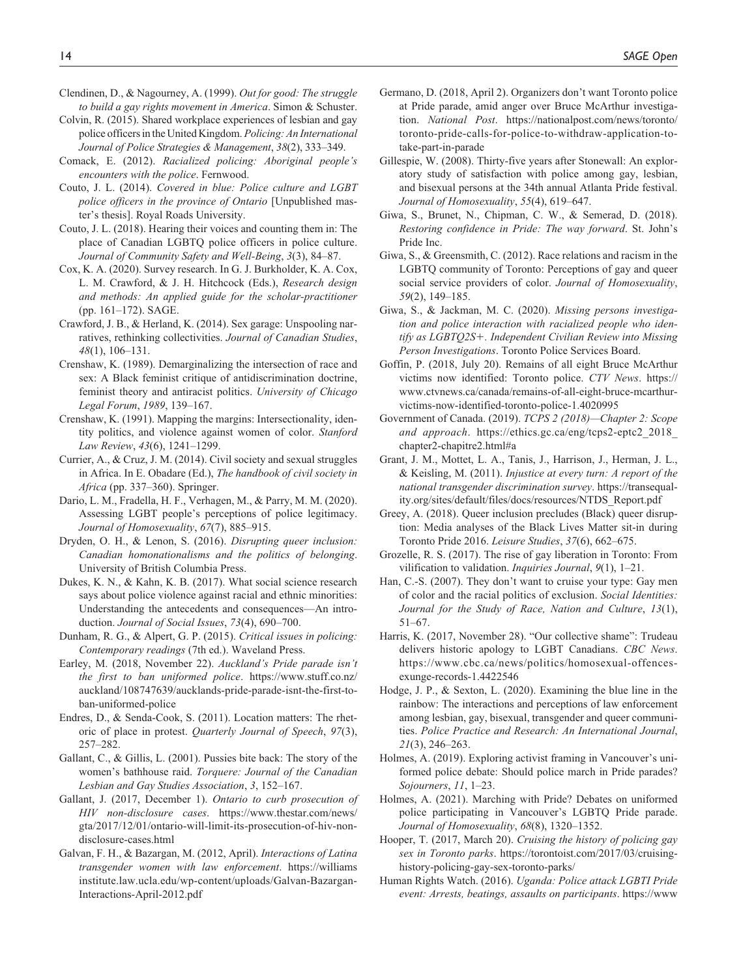- Clendinen, D., & Nagourney, A. (1999). *Out for good: The struggle to build a gay rights movement in America*. Simon & Schuster.
- Colvin, R. (2015). Shared workplace experiences of lesbian and gay police officers in the United Kingdom. *Policing: An International Journal of Police Strategies & Management*, *38*(2), 333–349.
- Comack, E. (2012). *Racialized policing: Aboriginal people's encounters with the police*. Fernwood.
- Couto, J. L. (2014). *Covered in blue: Police culture and LGBT police officers in the province of Ontario* [Unpublished master's thesis]. Royal Roads University.
- Couto, J. L. (2018). Hearing their voices and counting them in: The place of Canadian LGBTQ police officers in police culture. *Journal of Community Safety and Well-Being*, *3*(3), 84–87.
- Cox, K. A. (2020). Survey research. In G. J. Burkholder, K. A. Cox, L. M. Crawford, & J. H. Hitchcock (Eds.), *Research design and methods: An applied guide for the scholar-practitioner* (pp. 161–172). SAGE.
- Crawford, J. B., & Herland, K. (2014). Sex garage: Unspooling narratives, rethinking collectivities. *Journal of Canadian Studies*, *48*(1), 106–131.
- Crenshaw, K. (1989). Demarginalizing the intersection of race and sex: A Black feminist critique of antidiscrimination doctrine, feminist theory and antiracist politics. *University of Chicago Legal Forum*, *1989*, 139–167.
- Crenshaw, K. (1991). Mapping the margins: Intersectionality, identity politics, and violence against women of color. *Stanford Law Review*, *43*(6), 1241–1299.
- Currier, A., & Cruz, J. M. (2014). Civil society and sexual struggles in Africa. In E. Obadare (Ed.), *The handbook of civil society in Africa* (pp. 337–360). Springer.
- Dario, L. M., Fradella, H. F., Verhagen, M., & Parry, M. M. (2020). Assessing LGBT people's perceptions of police legitimacy. *Journal of Homosexuality*, *67*(7), 885–915.
- Dryden, O. H., & Lenon, S. (2016). *Disrupting queer inclusion: Canadian homonationalisms and the politics of belonging*. University of British Columbia Press.
- Dukes, K. N., & Kahn, K. B. (2017). What social science research says about police violence against racial and ethnic minorities: Understanding the antecedents and consequences—An introduction. *Journal of Social Issues*, *73*(4), 690–700.
- Dunham, R. G., & Alpert, G. P. (2015). *Critical issues in policing: Contemporary readings* (7th ed.). Waveland Press.
- Earley, M. (2018, November 22). *Auckland's Pride parade isn't the first to ban uniformed police*. [https://www.stuff.co.nz/](https://www.stuff.co.nz/auckland/108747639/aucklands-pride-parade-isnt-the-first-to-ban-uniformed-police) [auckland/108747639/aucklands-pride-parade-isnt-the-first-to](https://www.stuff.co.nz/auckland/108747639/aucklands-pride-parade-isnt-the-first-to-ban-uniformed-police)[ban-uniformed-police](https://www.stuff.co.nz/auckland/108747639/aucklands-pride-parade-isnt-the-first-to-ban-uniformed-police)
- Endres, D., & Senda-Cook, S. (2011). Location matters: The rhetoric of place in protest. *Quarterly Journal of Speech*, *97*(3), 257–282.
- Gallant, C., & Gillis, L. (2001). Pussies bite back: The story of the women's bathhouse raid. *Torquere: Journal of the Canadian Lesbian and Gay Studies Association*, *3*, 152–167.
- Gallant, J. (2017, December 1). *Ontario to curb prosecution of HIV non-disclosure cases*. [https://www.thestar.com/news/](https://www.thestar.com/news/gta/2017/12/01/ontario-will-limit-its-prosecution-of-hiv-non-disclosure-cases.html) [gta/2017/12/01/ontario-will-limit-its-prosecution-of-hiv-non](https://www.thestar.com/news/gta/2017/12/01/ontario-will-limit-its-prosecution-of-hiv-non-disclosure-cases.html)[disclosure-cases.html](https://www.thestar.com/news/gta/2017/12/01/ontario-will-limit-its-prosecution-of-hiv-non-disclosure-cases.html)
- Galvan, F. H., & Bazargan, M. (2012, April). *Interactions of Latina transgender women with law enforcement*. [https://williams](https://williamsinstitute.law.ucla.edu/wp-content/uploads/Galvan-Bazargan-Interactions-April-2012.pdf) [institute.law.ucla.edu/wp-content/uploads/Galvan-Bazargan-](https://williamsinstitute.law.ucla.edu/wp-content/uploads/Galvan-Bazargan-Interactions-April-2012.pdf)[Interactions-April-2012.pdf](https://williamsinstitute.law.ucla.edu/wp-content/uploads/Galvan-Bazargan-Interactions-April-2012.pdf)
- Germano, D. (2018, April 2). Organizers don't want Toronto police at Pride parade, amid anger over Bruce McArthur investigation. *National Post*. [https://nationalpost.com/news/toronto/](https://nationalpost.com/news/toronto/toronto-pride-calls-for-police-to-withdraw-application-to-take-part-in-parade) [toronto-pride-calls-for-police-to-withdraw-application-to](https://nationalpost.com/news/toronto/toronto-pride-calls-for-police-to-withdraw-application-to-take-part-in-parade)[take-part-in-parade](https://nationalpost.com/news/toronto/toronto-pride-calls-for-police-to-withdraw-application-to-take-part-in-parade)
- Gillespie, W. (2008). Thirty-five years after Stonewall: An exploratory study of satisfaction with police among gay, lesbian, and bisexual persons at the 34th annual Atlanta Pride festival. *Journal of Homosexuality*, *55*(4), 619–647.
- Giwa, S., Brunet, N., Chipman, C. W., & Semerad, D. (2018). *Restoring confidence in Pride: The way forward*. St. John's Pride Inc.
- Giwa, S., & Greensmith, C. (2012). Race relations and racism in the LGBTQ community of Toronto: Perceptions of gay and queer social service providers of color. *Journal of Homosexuality*, *59*(2), 149–185.
- Giwa, S., & Jackman, M. C. (2020). *Missing persons investigation and police interaction with racialized people who identify as LGBTQ2S*+*. Independent Civilian Review into Missing Person Investigations*. Toronto Police Services Board.
- Goffin, P. (2018, July 20). Remains of all eight Bruce McArthur victims now identified: Toronto police. *CTV News*. [https://](https://www.ctvnews.ca/canada/remains-of-all-eight-bruce-mcarthur-victims-now-identified-toronto-police-1.4020995) [www.ctvnews.ca/canada/remains-of-all-eight-bruce-mcarthur](https://www.ctvnews.ca/canada/remains-of-all-eight-bruce-mcarthur-victims-now-identified-toronto-police-1.4020995)[victims-now-identified-toronto-police-1.4020995](https://www.ctvnews.ca/canada/remains-of-all-eight-bruce-mcarthur-victims-now-identified-toronto-police-1.4020995)
- Government of Canada. (2019). *TCPS 2 (2018)—Chapter 2: Scope and approach*. [https://ethics.gc.ca/eng/tcps2-eptc2\\_2018\\_](https://ethics.gc.ca/eng/tcps2-eptc2_2018_chapter2-chapitre2.html#a) [chapter2-chapitre2.html#a](https://ethics.gc.ca/eng/tcps2-eptc2_2018_chapter2-chapitre2.html#a)
- Grant, J. M., Mottet, L. A., Tanis, J., Harrison, J., Herman, J. L., & Keisling, M. (2011). *Injustice at every turn: A report of the national transgender discrimination survey*. [https://transequal](https://transequality.org/sites/default/files/docs/resources/NTDS_Report.pdf)[ity.org/sites/default/files/docs/resources/NTDS\\_Report.pdf](https://transequality.org/sites/default/files/docs/resources/NTDS_Report.pdf)
- Greey, A. (2018). Queer inclusion precludes (Black) queer disruption: Media analyses of the Black Lives Matter sit-in during Toronto Pride 2016. *Leisure Studies*, *37*(6), 662–675.
- Grozelle, R. S. (2017). The rise of gay liberation in Toronto: From vilification to validation. *Inquiries Journal*, *9*(1), 1–21.
- Han, C.-S. (2007). They don't want to cruise your type: Gay men of color and the racial politics of exclusion. *Social Identities: Journal for the Study of Race, Nation and Culture*, *13*(1), 51–67.
- Harris, K. (2017, November 28). "Our collective shame": Trudeau delivers historic apology to LGBT Canadians. *CBC News*. [https://www.cbc.ca/news/politics/homosexual-offences](https://www.cbc.ca/news/politics/homosexual-offences-exunge-records-1.4422546)[exunge-records-1.4422546](https://www.cbc.ca/news/politics/homosexual-offences-exunge-records-1.4422546)
- Hodge, J. P., & Sexton, L. (2020). Examining the blue line in the rainbow: The interactions and perceptions of law enforcement among lesbian, gay, bisexual, transgender and queer communities. *Police Practice and Research: An International Journal*, *21*(3), 246–263.
- Holmes, A. (2019). Exploring activist framing in Vancouver's uniformed police debate: Should police march in Pride parades? *Sojourners*, *11*, 1–23.
- Holmes, A. (2021). Marching with Pride? Debates on uniformed police participating in Vancouver's LGBTQ Pride parade. *Journal of Homosexuality*, *68*(8), 1320–1352.
- Hooper, T. (2017, March 20). *Cruising the history of policing gay sex in Toronto parks*. [https://torontoist.com/2017/03/cruising](https://torontoist.com/2017/03/cruising-history-policing-gay-sex-toronto-parks/)[history-policing-gay-sex-toronto-parks/](https://torontoist.com/2017/03/cruising-history-policing-gay-sex-toronto-parks/)
- Human Rights Watch. (2016). *Uganda: Police attack LGBTI Pride event: Arrests, beatings, assaults on participants*. [https://www](https://www.hrw.org/news/2016/08/05/uganda-police-attack-lgbti-pride-event)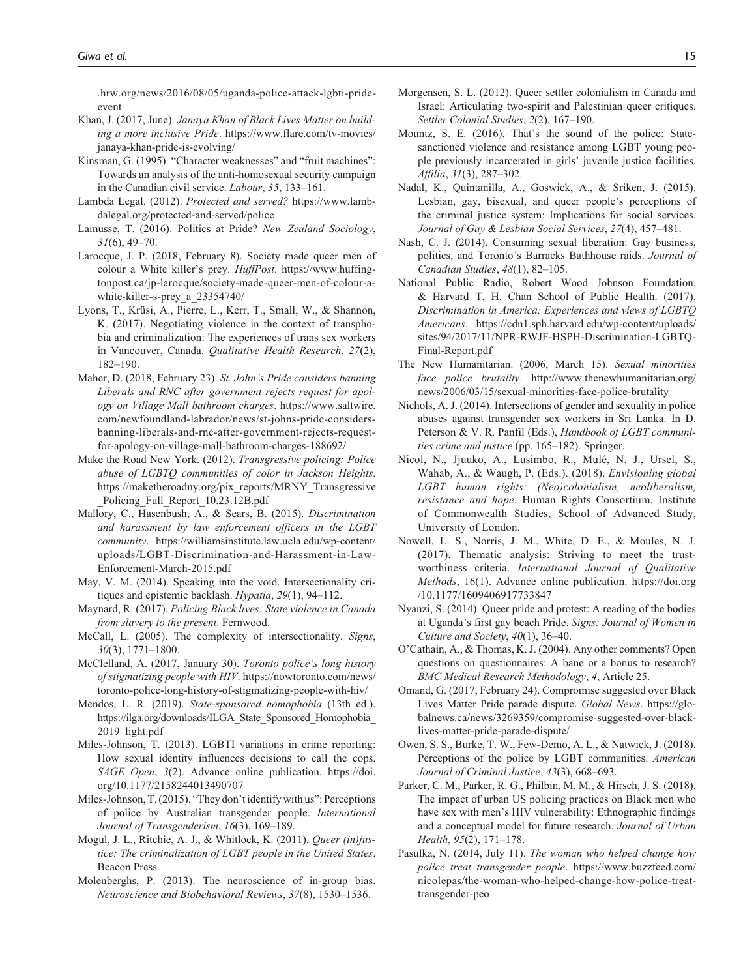[.hrw.org/news/2016/08/05/uganda-police-attack-lgbti-pride](https://www.hrw.org/news/2016/08/05/uganda-police-attack-lgbti-pride-event)[event](https://www.hrw.org/news/2016/08/05/uganda-police-attack-lgbti-pride-event)

- Khan, J. (2017, June). *Janaya Khan of Black Lives Matter on building a more inclusive Pride*. [https://www.flare.com/tv-movies/](https://www.flare.com/tv-movies/janaya-khan-pride-is-evolving/) [janaya-khan-pride-is-evolving/](https://www.flare.com/tv-movies/janaya-khan-pride-is-evolving/)
- Kinsman, G. (1995). "Character weaknesses" and "fruit machines": Towards an analysis of the anti-homosexual security campaign in the Canadian civil service. *Labour*, *35*, 133–161.
- Lambda Legal. (2012). *Protected and served?* [https://www.lamb](https://www.lambdalegal.org/protected-and-served/police)[dalegal.org/protected-and-served/police](https://www.lambdalegal.org/protected-and-served/police)
- Lamusse, T. (2016). Politics at Pride? *New Zealand Sociology*, *31*(6), 49–70.
- Larocque, J. P. (2018, February 8). Society made queer men of colour a White killer's prey. *HuffPost*. [https://www.huffing](https://www.huffingtonpost.ca/jp-larocque/society-made-queer-men-of-colour-a-white-killer-s-prey_a_23354740/)[tonpost.ca/jp-larocque/society-made-queer-men-of-colour-a](https://www.huffingtonpost.ca/jp-larocque/society-made-queer-men-of-colour-a-white-killer-s-prey_a_23354740/)[white-killer-s-prey\\_a\\_23354740/](https://www.huffingtonpost.ca/jp-larocque/society-made-queer-men-of-colour-a-white-killer-s-prey_a_23354740/)
- Lyons, T., Krüsi, A., Pierre, L., Kerr, T., Small, W., & Shannon, K. (2017). Negotiating violence in the context of transphobia and criminalization: The experiences of trans sex workers in Vancouver, Canada. *Qualitative Health Research*, *27*(2), 182–190.
- Maher, D. (2018, February 23). *St. John's Pride considers banning Liberals and RNC after government rejects request for apology on Village Mall bathroom charges*. [https://www.saltwire.](https://www.saltwire.com/newfoundland-labrador/news/st-johns-pride-considers-banning-liberals-and-rnc-after-government-rejects-request-for-apology-on-village-mall-bathroom-charges-188692/) [com/newfoundland-labrador/news/st-johns-pride-considers](https://www.saltwire.com/newfoundland-labrador/news/st-johns-pride-considers-banning-liberals-and-rnc-after-government-rejects-request-for-apology-on-village-mall-bathroom-charges-188692/)[banning-liberals-and-rnc-after-government-rejects-request](https://www.saltwire.com/newfoundland-labrador/news/st-johns-pride-considers-banning-liberals-and-rnc-after-government-rejects-request-for-apology-on-village-mall-bathroom-charges-188692/)[for-apology-on-village-mall-bathroom-charges-188692/](https://www.saltwire.com/newfoundland-labrador/news/st-johns-pride-considers-banning-liberals-and-rnc-after-government-rejects-request-for-apology-on-village-mall-bathroom-charges-188692/)
- Make the Road New York. (2012). *Transgressive policing: Police abuse of LGBTQ communities of color in Jackson Heights*. [https://maketheroadny.org/pix\\_reports/MRNY\\_Transgressive](https://maketheroadny.org/pix_reports/MRNY_Transgressive_Policing_Full_Report_10.23.12B.pdf) Policing Full Report 10.23.12B.pdf
- Mallory, C., Hasenbush, A., & Sears, B. (2015). *Discrimination and harassment by law enforcement officers in the LGBT community*. [https://williamsinstitute.law.ucla.edu/wp-content/](https://williamsinstitute.law.ucla.edu/wp-content/uploads/LGBT-Discrimination-and-Harassment-in-Law-Enforcement-March-2015.pdf) [uploads/LGBT-Discrimination-and-Harassment-in-Law-](https://williamsinstitute.law.ucla.edu/wp-content/uploads/LGBT-Discrimination-and-Harassment-in-Law-Enforcement-March-2015.pdf)[Enforcement-March-2015.pdf](https://williamsinstitute.law.ucla.edu/wp-content/uploads/LGBT-Discrimination-and-Harassment-in-Law-Enforcement-March-2015.pdf)
- May, V. M. (2014). Speaking into the void. Intersectionality critiques and epistemic backlash. *Hypatia*, *29*(1), 94–112.
- Maynard, R. (2017). *Policing Black lives: State violence in Canada from slavery to the present*. Fernwood.
- McCall, L. (2005). The complexity of intersectionality. *Signs*, *30*(3), 1771–1800.
- McClelland, A. (2017, January 30). *Toronto police's long history of stigmatizing people with HIV*. [https://nowtoronto.com/news/](https://nowtoronto.com/news/toronto-police-long-history-of-stigmatizing-people-with-hiv/) [toronto-police-long-history-of-stigmatizing-people-with-hiv/](https://nowtoronto.com/news/toronto-police-long-history-of-stigmatizing-people-with-hiv/)
- Mendos, L. R. (2019). *State-sponsored homophobia* (13th ed.). [https://ilga.org/downloads/ILGA\\_State\\_Sponsored\\_Homophobia\\_](https://ilga.org/downloads/ILGA_State_Sponsored_Homophobia_2019_light.pdf) 2019 light.pdf
- Miles-Johnson, T. (2013). LGBTI variations in crime reporting: How sexual identity influences decisions to call the cops. *SAGE Open*, *3*(2). Advance online publication. [https://doi.](https://doi.org/10.1177/2158244013490707) [org/10.1177/2158244013490707](https://doi.org/10.1177/2158244013490707)
- Miles-Johnson, T. (2015). "They don't identify with us": Perceptions of police by Australian transgender people. *International Journal of Transgenderism*, *16*(3), 169–189.
- Mogul, J. L., Ritchie, A. J., & Whitlock, K. (2011). *Queer (in)justice: The criminalization of LGBT people in the United States*. Beacon Press.
- Molenberghs, P. (2013). The neuroscience of in-group bias. *Neuroscience and Biobehavioral Reviews*, *37*(8), 1530–1536.
- Morgensen, S. L. (2012). Queer settler colonialism in Canada and Israel: Articulating two-spirit and Palestinian queer critiques. *Settler Colonial Studies*, *2*(2), 167–190.
- Mountz, S. E. (2016). That's the sound of the police: Statesanctioned violence and resistance among LGBT young people previously incarcerated in girls' juvenile justice facilities. *Affilia*, *31*(3), 287–302.
- Nadal, K., Quintanilla, A., Goswick, A., & Sriken, J. (2015). Lesbian, gay, bisexual, and queer people's perceptions of the criminal justice system: Implications for social services. *Journal of Gay & Lesbian Social Services*, *27*(4), 457–481.
- Nash, C. J. (2014). Consuming sexual liberation: Gay business, politics, and Toronto's Barracks Bathhouse raids. *Journal of Canadian Studies*, *48*(1), 82–105.
- National Public Radio, Robert Wood Johnson Foundation, & Harvard T. H. Chan School of Public Health. (2017). *Discrimination in America: Experiences and views of LGBTQ Americans*. [https://cdn1.sph.harvard.edu/wp-content/uploads/](https://cdn1.sph.harvard.edu/wp-content/uploads/sites/94/2017/11/NPR-RWJF-HSPH-Discrimination-LGBTQ-Final-Report.pdf) [sites/94/2017/11/NPR-RWJF-HSPH-Discrimination-LGBTQ-](https://cdn1.sph.harvard.edu/wp-content/uploads/sites/94/2017/11/NPR-RWJF-HSPH-Discrimination-LGBTQ-Final-Report.pdf)[Final-Report.pdf](https://cdn1.sph.harvard.edu/wp-content/uploads/sites/94/2017/11/NPR-RWJF-HSPH-Discrimination-LGBTQ-Final-Report.pdf)
- The New Humanitarian. (2006, March 15). *Sexual minorities face police brutality*. [http://www.thenewhumanitarian.org/](http://www.thenewhumanitarian.org/news/2006/03/15/sexual-minorities-face-police-brutality) [news/2006/03/15/sexual-minorities-face-police-brutality](http://www.thenewhumanitarian.org/news/2006/03/15/sexual-minorities-face-police-brutality)
- Nichols, A. J. (2014). Intersections of gender and sexuality in police abuses against transgender sex workers in Sri Lanka. In D. Peterson & V. R. Panfil (Eds.), *Handbook of LGBT communities crime and justice* (pp. 165–182). Springer.
- Nicol, N., Jjuuko, A., Lusimbo, R., Mulé, N. J., Ursel, S., Wahab, A., & Waugh, P. (Eds.). (2018). *Envisioning global LGBT human rights: (Neo)colonialism, neoliberalism, resistance and hope*. Human Rights Consortium, Institute of Commonwealth Studies, School of Advanced Study, University of London.
- Nowell, L. S., Norris, J. M., White, D. E., & Moules, N. J. (2017). Thematic analysis: Striving to meet the trustworthiness criteria. *International Journal of Qualitative Methods*, 16(1). Advance online publication. [https://doi.org](https://doi.org/10.1177/1609406917733847) [/10.1177/1609406917733847](https://doi.org/10.1177/1609406917733847)
- Nyanzi, S. (2014). Queer pride and protest: A reading of the bodies at Uganda's first gay beach Pride. *Signs: Journal of Women in Culture and Society*, *40*(1), 36–40.
- O'Cathain, A., & Thomas, K. J. (2004). Any other comments? Open questions on questionnaires: A bane or a bonus to research? *BMC Medical Research Methodology*, *4*, Article 25.
- Omand, G. (2017, February 24). Compromise suggested over Black Lives Matter Pride parade dispute. *Global News*. [https://glo](https://globalnews.ca/news/3269359/compromise-suggested-over-black-lives-matter-pride-parade-dispute/)[balnews.ca/news/3269359/compromise-suggested-over-black](https://globalnews.ca/news/3269359/compromise-suggested-over-black-lives-matter-pride-parade-dispute/)[lives-matter-pride-parade-dispute/](https://globalnews.ca/news/3269359/compromise-suggested-over-black-lives-matter-pride-parade-dispute/)
- Owen, S. S., Burke, T. W., Few-Demo, A. L., & Natwick, J. (2018). Perceptions of the police by LGBT communities. *American Journal of Criminal Justice*, *43*(3), 668–693.
- Parker, C. M., Parker, R. G., Philbin, M. M., & Hirsch, J. S. (2018). The impact of urban US policing practices on Black men who have sex with men's HIV vulnerability: Ethnographic findings and a conceptual model for future research. *Journal of Urban Health*, *95*(2), 171–178.
- Pasulka, N. (2014, July 11). *The woman who helped change how police treat transgender people*. [https://www.buzzfeed.com/](https://www.buzzfeed.com/nicolepas/the-woman-who-helped-change-how-police-treat-transgender-peo) [nicolepas/the-woman-who-helped-change-how-police-treat](https://www.buzzfeed.com/nicolepas/the-woman-who-helped-change-how-police-treat-transgender-peo)[transgender-peo](https://www.buzzfeed.com/nicolepas/the-woman-who-helped-change-how-police-treat-transgender-peo)